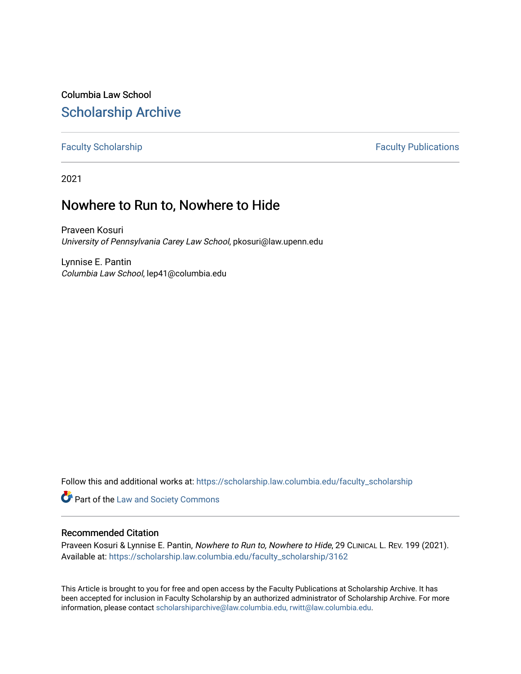Columbia Law School [Scholarship Archive](https://scholarship.law.columbia.edu/) 

# [Faculty Scholarship](https://scholarship.law.columbia.edu/faculty_scholarship) **Faculty Scholarship Faculty Publications**

2021

# Nowhere to Run to, Nowhere to Hide

Praveen Kosuri University of Pennsylvania Carey Law School, pkosuri@law.upenn.edu

Lynnise E. Pantin Columbia Law School, lep41@columbia.edu

Follow this and additional works at: [https://scholarship.law.columbia.edu/faculty\\_scholarship](https://scholarship.law.columbia.edu/faculty_scholarship?utm_source=scholarship.law.columbia.edu%2Ffaculty_scholarship%2F3162&utm_medium=PDF&utm_campaign=PDFCoverPages)

Part of the [Law and Society Commons](http://network.bepress.com/hgg/discipline/853?utm_source=scholarship.law.columbia.edu%2Ffaculty_scholarship%2F3162&utm_medium=PDF&utm_campaign=PDFCoverPages)

# Recommended Citation

Praveen Kosuri & Lynnise E. Pantin, Nowhere to Run to, Nowhere to Hide, 29 CLINICAL L. REV. 199 (2021). Available at: [https://scholarship.law.columbia.edu/faculty\\_scholarship/3162](https://scholarship.law.columbia.edu/faculty_scholarship/3162?utm_source=scholarship.law.columbia.edu%2Ffaculty_scholarship%2F3162&utm_medium=PDF&utm_campaign=PDFCoverPages)

This Article is brought to you for free and open access by the Faculty Publications at Scholarship Archive. It has been accepted for inclusion in Faculty Scholarship by an authorized administrator of Scholarship Archive. For more information, please contact [scholarshiparchive@law.columbia.edu, rwitt@law.columbia.edu](mailto:scholarshiparchive@law.columbia.edu,%20rwitt@law.columbia.edu).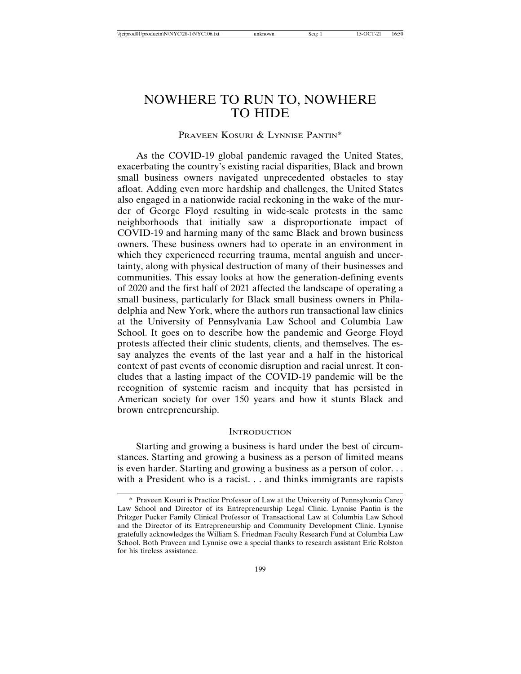# NOWHERE TO RUN TO, NOWHERE TO HIDE

# PRAVEEN KOSURI & LYNNISE PANTIN\*

As the COVID-19 global pandemic ravaged the United States, exacerbating the country's existing racial disparities, Black and brown small business owners navigated unprecedented obstacles to stay afloat. Adding even more hardship and challenges, the United States also engaged in a nationwide racial reckoning in the wake of the murder of George Floyd resulting in wide-scale protests in the same neighborhoods that initially saw a disproportionate impact of COVID-19 and harming many of the same Black and brown business owners. These business owners had to operate in an environment in which they experienced recurring trauma, mental anguish and uncertainty, along with physical destruction of many of their businesses and communities. This essay looks at how the generation-defining events of 2020 and the first half of 2021 affected the landscape of operating a small business, particularly for Black small business owners in Philadelphia and New York, where the authors run transactional law clinics at the University of Pennsylvania Law School and Columbia Law School. It goes on to describe how the pandemic and George Floyd protests affected their clinic students, clients, and themselves. The essay analyzes the events of the last year and a half in the historical context of past events of economic disruption and racial unrest. It concludes that a lasting impact of the COVID-19 pandemic will be the recognition of systemic racism and inequity that has persisted in American society for over 150 years and how it stunts Black and brown entrepreneurship.

#### **INTRODUCTION**

Starting and growing a business is hard under the best of circumstances. Starting and growing a business as a person of limited means is even harder. Starting and growing a business as a person of color. . . with a President who is a racist. . . and thinks immigrants are rapists

<sup>\*</sup> Praveen Kosuri is Practice Professor of Law at the University of Pennsylvania Carey Law School and Director of its Entrepreneurship Legal Clinic. Lynnise Pantin is the Pritzger Pucker Family Clinical Professor of Transactional Law at Columbia Law School and the Director of its Entrepreneurship and Community Development Clinic. Lynnise gratefully acknowledges the William S. Friedman Faculty Research Fund at Columbia Law School. Both Praveen and Lynnise owe a special thanks to research assistant Eric Rolston for his tireless assistance.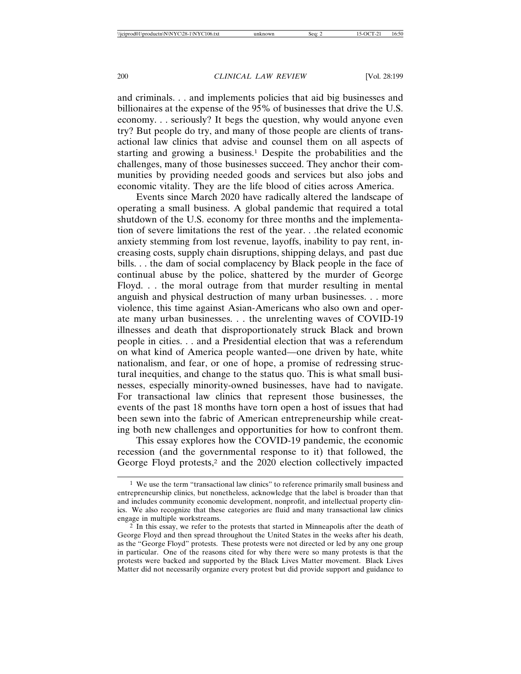and criminals. . . and implements policies that aid big businesses and billionaires at the expense of the 95% of businesses that drive the U.S. economy. . . seriously? It begs the question, why would anyone even try? But people do try, and many of those people are clients of transactional law clinics that advise and counsel them on all aspects of starting and growing a business.1 Despite the probabilities and the challenges, many of those businesses succeed. They anchor their communities by providing needed goods and services but also jobs and economic vitality. They are the life blood of cities across America.

Events since March 2020 have radically altered the landscape of operating a small business. A global pandemic that required a total shutdown of the U.S. economy for three months and the implementation of severe limitations the rest of the year. . .the related economic anxiety stemming from lost revenue, layoffs, inability to pay rent, increasing costs, supply chain disruptions, shipping delays, and past due bills. . . the dam of social complacency by Black people in the face of continual abuse by the police, shattered by the murder of George Floyd. . . the moral outrage from that murder resulting in mental anguish and physical destruction of many urban businesses. . . more violence, this time against Asian-Americans who also own and operate many urban businesses. . . the unrelenting waves of COVID-19 illnesses and death that disproportionately struck Black and brown people in cities. . . and a Presidential election that was a referendum on what kind of America people wanted—one driven by hate, white nationalism, and fear, or one of hope, a promise of redressing structural inequities, and change to the status quo. This is what small businesses, especially minority-owned businesses, have had to navigate. For transactional law clinics that represent those businesses, the events of the past 18 months have torn open a host of issues that had been sewn into the fabric of American entrepreneurship while creating both new challenges and opportunities for how to confront them.

This essay explores how the COVID-19 pandemic, the economic recession (and the governmental response to it) that followed, the George Floyd protests,<sup>2</sup> and the 2020 election collectively impacted

<sup>&</sup>lt;sup>1</sup> We use the term "transactional law clinics" to reference primarily small business and entrepreneurship clinics, but nonetheless, acknowledge that the label is broader than that and includes community economic development, nonprofit, and intellectual property clinics. We also recognize that these categories are fluid and many transactional law clinics engage in multiple workstreams.

<sup>2</sup> In this essay, we refer to the protests that started in Minneapolis after the death of George Floyd and then spread throughout the United States in the weeks after his death, as the "George Floyd" protests. These protests were not directed or led by any one group in particular. One of the reasons cited for why there were so many protests is that the protests were backed and supported by the Black Lives Matter movement. Black Lives Matter did not necessarily organize every protest but did provide support and guidance to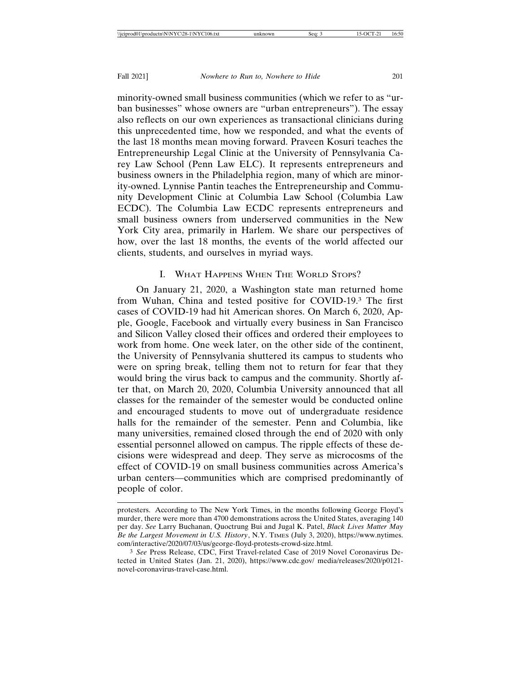minority-owned small business communities (which we refer to as "urban businesses" whose owners are "urban entrepreneurs"). The essay also reflects on our own experiences as transactional clinicians during this unprecedented time, how we responded, and what the events of the last 18 months mean moving forward. Praveen Kosuri teaches the Entrepreneurship Legal Clinic at the University of Pennsylvania Carey Law School (Penn Law ELC). It represents entrepreneurs and business owners in the Philadelphia region, many of which are minority-owned. Lynnise Pantin teaches the Entrepreneurship and Community Development Clinic at Columbia Law School (Columbia Law ECDC). The Columbia Law ECDC represents entrepreneurs and small business owners from underserved communities in the New York City area, primarily in Harlem. We share our perspectives of how, over the last 18 months, the events of the world affected our clients, students, and ourselves in myriad ways.

#### I. WHAT HAPPENS WHEN THE WORLD STOPS?

On January 21, 2020, a Washington state man returned home from Wuhan, China and tested positive for COVID-19.3 The first cases of COVID-19 had hit American shores. On March 6, 2020, Apple, Google, Facebook and virtually every business in San Francisco and Silicon Valley closed their offices and ordered their employees to work from home. One week later, on the other side of the continent, the University of Pennsylvania shuttered its campus to students who were on spring break, telling them not to return for fear that they would bring the virus back to campus and the community. Shortly after that, on March 20, 2020, Columbia University announced that all classes for the remainder of the semester would be conducted online and encouraged students to move out of undergraduate residence halls for the remainder of the semester. Penn and Columbia, like many universities, remained closed through the end of 2020 with only essential personnel allowed on campus. The ripple effects of these decisions were widespread and deep. They serve as microcosms of the effect of COVID-19 on small business communities across America's urban centers—communities which are comprised predominantly of people of color.

protesters. According to The New York Times, in the months following George Floyd's murder, there were more than 4700 demonstrations across the United States, averaging 140 per day. *See* Larry Buchanan, Quoctrung Bui and Jugal K. Patel, *Black Lives Matter May Be the Largest Movement in U.S. History*, N.Y. TIMES (July 3, 2020), https://www.nytimes. com/interactive/2020/07/03/us/george-floyd-protests-crowd-size.html.

<sup>3</sup> *See* Press Release, CDC, First Travel-related Case of 2019 Novel Coronavirus Detected in United States (Jan. 21, 2020), https://www.cdc.gov/ media/releases/2020/p0121 novel-coronavirus-travel-case.html.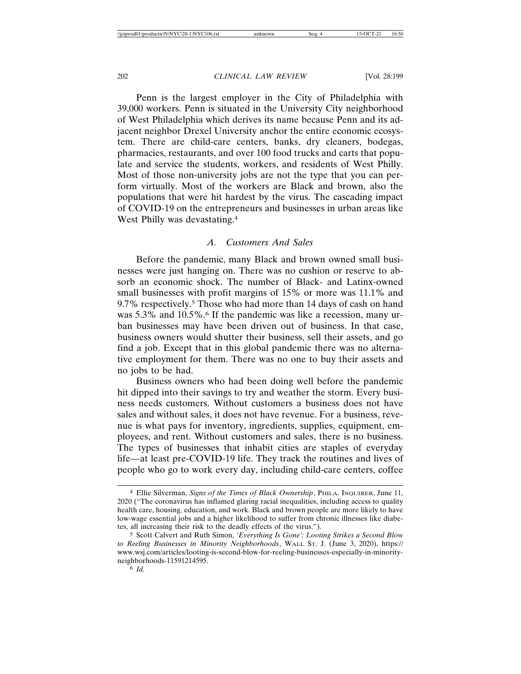Penn is the largest employer in the City of Philadelphia with 39,000 workers. Penn is situated in the University City neighborhood of West Philadelphia which derives its name because Penn and its adjacent neighbor Drexel University anchor the entire economic ecosystem. There are child-care centers, banks, dry cleaners, bodegas, pharmacies, restaurants, and over 100 food trucks and carts that populate and service the students, workers, and residents of West Philly. Most of those non-university jobs are not the type that you can perform virtually. Most of the workers are Black and brown, also the populations that were hit hardest by the virus. The cascading impact of COVID-19 on the entrepreneurs and businesses in urban areas like West Philly was devastating.<sup>4</sup>

# *A. Customers And Sales*

Before the pandemic, many Black and brown owned small businesses were just hanging on. There was no cushion or reserve to absorb an economic shock. The number of Black- and Latinx-owned small businesses with profit margins of 15% or more was 11.1% and 9.7% respectively.<sup>5</sup> Those who had more than 14 days of cash on hand was 5.3% and 10.5%.<sup>6</sup> If the pandemic was like a recession, many urban businesses may have been driven out of business. In that case, business owners would shutter their business, sell their assets, and go find a job. Except that in this global pandemic there was no alternative employment for them. There was no one to buy their assets and no jobs to be had.

Business owners who had been doing well before the pandemic hit dipped into their savings to try and weather the storm. Every business needs customers. Without customers a business does not have sales and without sales, it does not have revenue. For a business, revenue is what pays for inventory, ingredients, supplies, equipment, employees, and rent. Without customers and sales, there is no business. The types of businesses that inhabit cities are staples of everyday life—at least pre-COVID-19 life. They track the routines and lives of people who go to work every day, including child-care centers, coffee

<sup>4</sup> Ellie Silverman, *Signs of the Times of Black Ownership*, PHILA. INQUIRER, June 11, 2020 ("The coronavirus has inflamed glaring racial inequalities, including access to quality health care, housing, education, and work. Black and brown people are more likely to have low-wage essential jobs and a higher likelihood to suffer from chronic illnesses like diabetes, all increasing their risk to the deadly effects of the virus.").

<sup>5</sup> Scott Calvert and Ruth Simon, *'Everything Is Gone': Looting Strikes a Second Blow to Reeling Businesses in Minority Neighborhoods*, WALL ST. J. (June 3, 2020), https:// www.wsj.com/articles/looting-is-second-blow-for-reeling-businesses-especially-in-minorityneighborhoods-11591214595.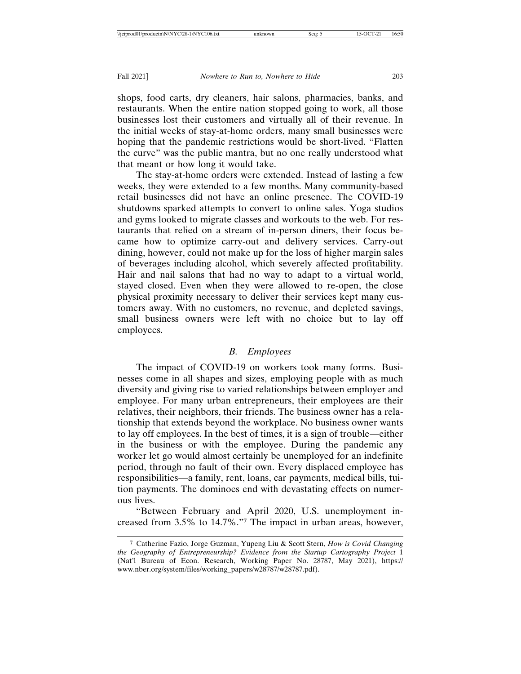shops, food carts, dry cleaners, hair salons, pharmacies, banks, and restaurants. When the entire nation stopped going to work, all those businesses lost their customers and virtually all of their revenue. In the initial weeks of stay-at-home orders, many small businesses were hoping that the pandemic restrictions would be short-lived. "Flatten the curve" was the public mantra, but no one really understood what that meant or how long it would take.

The stay-at-home orders were extended. Instead of lasting a few weeks, they were extended to a few months. Many community-based retail businesses did not have an online presence. The COVID-19 shutdowns sparked attempts to convert to online sales. Yoga studios and gyms looked to migrate classes and workouts to the web. For restaurants that relied on a stream of in-person diners, their focus became how to optimize carry-out and delivery services. Carry-out dining, however, could not make up for the loss of higher margin sales of beverages including alcohol, which severely affected profitability. Hair and nail salons that had no way to adapt to a virtual world, stayed closed. Even when they were allowed to re-open, the close physical proximity necessary to deliver their services kept many customers away. With no customers, no revenue, and depleted savings, small business owners were left with no choice but to lay off employees.

# *B. Employees*

The impact of COVID-19 on workers took many forms. Businesses come in all shapes and sizes, employing people with as much diversity and giving rise to varied relationships between employer and employee. For many urban entrepreneurs, their employees are their relatives, their neighbors, their friends. The business owner has a relationship that extends beyond the workplace. No business owner wants to lay off employees. In the best of times, it is a sign of trouble—either in the business or with the employee. During the pandemic any worker let go would almost certainly be unemployed for an indefinite period, through no fault of their own. Every displaced employee has responsibilities—a family, rent, loans, car payments, medical bills, tuition payments. The dominoes end with devastating effects on numerous lives.

"Between February and April 2020, U.S. unemployment increased from 3.5% to 14.7%."7 The impact in urban areas, however,

<sup>7</sup> Catherine Fazio, Jorge Guzman, Yupeng Liu & Scott Stern, *How is Covid Changing the Geography of Entrepreneurship? Evidence from the Startup Cartography Project* 1 (Nat'l Bureau of Econ. Research, Working Paper No. 28787, May 2021), https:// www.nber.org/system/files/working\_papers/w28787/w28787.pdf).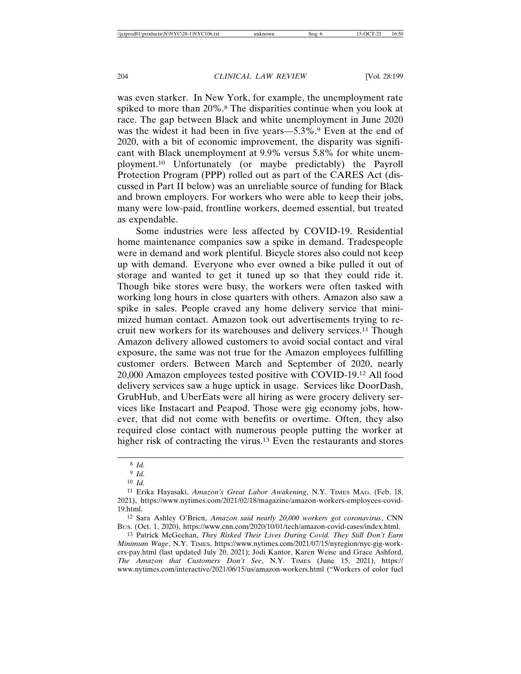was even starker. In New York, for example, the unemployment rate spiked to more than 20%.<sup>8</sup> The disparities continue when you look at race. The gap between Black and white unemployment in June 2020 was the widest it had been in five years—5.3%.<sup>9</sup> Even at the end of 2020, with a bit of economic improvement, the disparity was significant with Black unemployment at 9.9% versus 5.8% for white unemployment.10 Unfortunately (or maybe predictably) the Payroll Protection Program (PPP) rolled out as part of the CARES Act (discussed in Part II below) was an unreliable source of funding for Black and brown employers. For workers who were able to keep their jobs, many were low-paid, frontline workers, deemed essential, but treated as expendable.

Some industries were less affected by COVID-19. Residential home maintenance companies saw a spike in demand. Tradespeople were in demand and work plentiful. Bicycle stores also could not keep up with demand. Everyone who ever owned a bike pulled it out of storage and wanted to get it tuned up so that they could ride it. Though bike stores were busy, the workers were often tasked with working long hours in close quarters with others. Amazon also saw a spike in sales. People craved any home delivery service that minimized human contact. Amazon took out advertisements trying to recruit new workers for its warehouses and delivery services.11 Though Amazon delivery allowed customers to avoid social contact and viral exposure, the same was not true for the Amazon employees fulfilling customer orders. Between March and September of 2020, nearly 20,000 Amazon employees tested positive with COVID-19.12 All food delivery services saw a huge uptick in usage. Services like DoorDash, GrubHub, and UberEats were all hiring as were grocery delivery services like Instacart and Peapod. Those were gig economy jobs, however, that did not come with benefits or overtime. Often, they also required close contact with numerous people putting the worker at higher risk of contracting the virus.<sup>13</sup> Even the restaurants and stores

13 Patrick McGeehan, *They Risked Their Lives During Covid. They Still Don't Earn Minimum Wage*, N.Y. TIMES, https://www.nytimes.com/2021/07/15/nyregion/nyc-gig-workers-pay.html (last updated July 20, 2021); Jodi Kantor, Karen Weise and Grace Ashford, *The Amazon that Customers Don't See*, N.Y. TIMES (June 15, 2021), https:// www.nytimes.com/interactive/2021/06/15/us/amazon-workers.html ("Workers of color fuel

<sup>8</sup> *Id.*

<sup>9</sup> *Id.*

<sup>10</sup> *Id.*

<sup>11</sup> Erika Hayasaki, *Amazon's Great Labor Awakening*, N.Y. TIMES MAG. (Feb. 18, 2021), https://www.nytimes.com/2021/02/18/magazine/amazon-workers-employees-covid-19.html.

<sup>12</sup> Sara Ashley O'Brien, *Amazon said nearly 20,000 workers got coronavirus*, CNN BUS. (Oct. 1, 2020), https://www.cnn.com/2020/10/01/tech/amazon-covid-cases/index.html.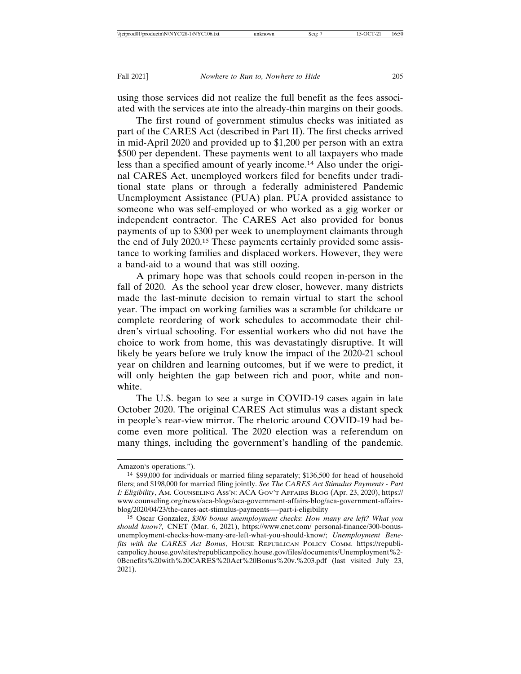using those services did not realize the full benefit as the fees associated with the services ate into the already-thin margins on their goods.

The first round of government stimulus checks was initiated as part of the CARES Act (described in Part II). The first checks arrived in mid-April 2020 and provided up to \$1,200 per person with an extra \$500 per dependent. These payments went to all taxpayers who made less than a specified amount of yearly income.14 Also under the original CARES Act, unemployed workers filed for benefits under traditional state plans or through a federally administered Pandemic Unemployment Assistance (PUA) plan. PUA provided assistance to someone who was self-employed or who worked as a gig worker or independent contractor. The CARES Act also provided for bonus payments of up to \$300 per week to unemployment claimants through the end of July 2020.15 These payments certainly provided some assistance to working families and displaced workers. However, they were a band-aid to a wound that was still oozing.

A primary hope was that schools could reopen in-person in the fall of 2020. As the school year drew closer, however, many districts made the last-minute decision to remain virtual to start the school year. The impact on working families was a scramble for childcare or complete reordering of work schedules to accommodate their children's virtual schooling. For essential workers who did not have the choice to work from home, this was devastatingly disruptive. It will likely be years before we truly know the impact of the 2020-21 school year on children and learning outcomes, but if we were to predict, it will only heighten the gap between rich and poor, white and nonwhite.

The U.S. began to see a surge in COVID-19 cases again in late October 2020. The original CARES Act stimulus was a distant speck in people's rear-view mirror. The rhetoric around COVID-19 had become even more political. The 2020 election was a referendum on many things, including the government's handling of the pandemic.

Amazon's operations.").

<sup>14</sup> \$99,000 for individuals or married filing separately; \$136,500 for head of household filers; and \$198,000 for married filing jointly. *See The CARES Act Stimulus Payments - Part I: Eligibility*, AM. COUNSELING ASS'N: ACA GOV'T AFFAIRS BLOG (Apr. 23, 2020), https:// www.counseling.org/news/aca-blogs/aca-government-affairs-blog/aca-government-affairsblog/2020/04/23/the-cares-act-stimulus-payments—-part-i-eligibility

<sup>15</sup> Oscar Gonzalez, *\$300 bonus unemployment checks: How many are left? What you should know?,* CNET (Mar. 6, 2021), https://www.cnet.com/ personal-finance/300-bonusunemployment-checks-how-many-are-left-what-you-should-know/; *Unemployment Benefits with the CARES Act Bonus*, HOUSE REPUBLICAN POLICY COMM. https://republicanpolicy.house.gov/sites/republicanpolicy.house.gov/files/documents/Unemployment%2- 0Benefits%20with%20CARES%20Act%20Bonus%20v.%203.pdf (last visited July 23, 2021).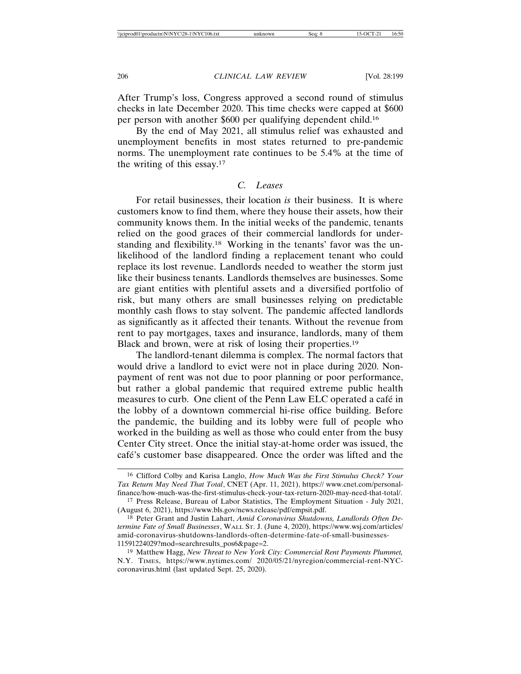After Trump's loss, Congress approved a second round of stimulus checks in late December 2020. This time checks were capped at \$600 per person with another \$600 per qualifying dependent child.16

By the end of May 2021, all stimulus relief was exhausted and unemployment benefits in most states returned to pre-pandemic norms. The unemployment rate continues to be 5.4% at the time of the writing of this essay.17

# *C. Leases*

For retail businesses, their location *is* their business. It is where customers know to find them, where they house their assets, how their community knows them. In the initial weeks of the pandemic, tenants relied on the good graces of their commercial landlords for understanding and flexibility.18 Working in the tenants' favor was the unlikelihood of the landlord finding a replacement tenant who could replace its lost revenue. Landlords needed to weather the storm just like their business tenants. Landlords themselves are businesses. Some are giant entities with plentiful assets and a diversified portfolio of risk, but many others are small businesses relying on predictable monthly cash flows to stay solvent. The pandemic affected landlords as significantly as it affected their tenants. Without the revenue from rent to pay mortgages, taxes and insurance, landlords, many of them Black and brown, were at risk of losing their properties.19

The landlord-tenant dilemma is complex. The normal factors that would drive a landlord to evict were not in place during 2020. Nonpayment of rent was not due to poor planning or poor performance, but rather a global pandemic that required extreme public health measures to curb. One client of the Penn Law ELC operated a café in the lobby of a downtown commercial hi-rise office building. Before the pandemic, the building and its lobby were full of people who worked in the building as well as those who could enter from the busy Center City street. Once the initial stay-at-home order was issued, the café's customer base disappeared. Once the order was lifted and the

<sup>16</sup> Clifford Colby and Karisa Langlo, *How Much Was the First Stimulus Check? Your Tax Return May Need That Total*, CNET (Apr. 11, 2021), https:// www.cnet.com/personalfinance/how-much-was-the-first-stimulus-check-your-tax-return-2020-may-need-that-total/.

<sup>17</sup> Press Release, Bureau of Labor Statistics, The Employment Situation - July 2021, (August 6, 2021), https://www.bls.gov/news.release/pdf/empsit.pdf.

<sup>18</sup> Peter Grant and Justin Lahart, *Amid Coronavirus Shutdowns, Landlords Often Determine Fate of Small Businesses*, WALL ST. J. (June 4, 2020), https://www.wsj.com/articles/ amid-coronavirus-shutdowns-landlords-often-determine-fate-of-small-businesses-11591224029?mod=searchresults\_pos6&page=2.

<sup>19</sup> Matthew Hagg, *New Threat to New York City: Commercial Rent Payments Plummet,* N.Y. TIMES, https://www.nytimes.com/ 2020/05/21/nyregion/commercial-rent-NYCcoronavirus.html (last updated Sept. 25, 2020).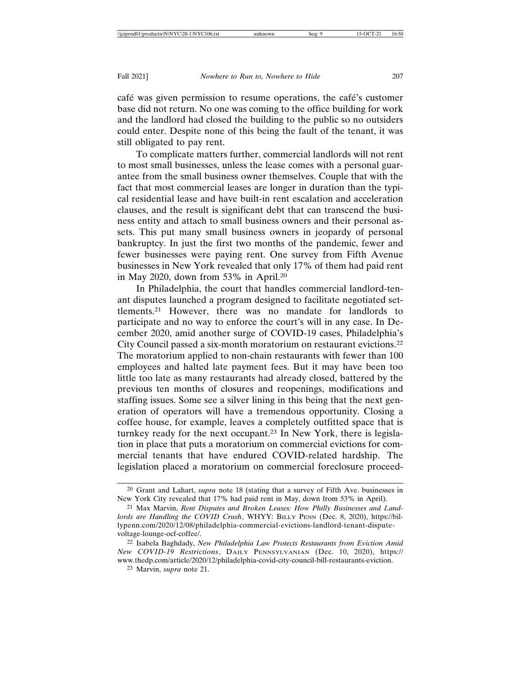café was given permission to resume operations, the café's customer base did not return. No one was coming to the office building for work and the landlord had closed the building to the public so no outsiders could enter. Despite none of this being the fault of the tenant, it was still obligated to pay rent.

To complicate matters further, commercial landlords will not rent to most small businesses, unless the lease comes with a personal guarantee from the small business owner themselves. Couple that with the fact that most commercial leases are longer in duration than the typical residential lease and have built-in rent escalation and acceleration clauses, and the result is significant debt that can transcend the business entity and attach to small business owners and their personal assets. This put many small business owners in jeopardy of personal bankruptcy. In just the first two months of the pandemic, fewer and fewer businesses were paying rent. One survey from Fifth Avenue businesses in New York revealed that only 17% of them had paid rent in May 2020, down from 53% in April.20

In Philadelphia, the court that handles commercial landlord-tenant disputes launched a program designed to facilitate negotiated settlements.21 However, there was no mandate for landlords to participate and no way to enforce the court's will in any case. In December 2020, amid another surge of COVID-19 cases, Philadelphia's City Council passed a six-month moratorium on restaurant evictions.22 The moratorium applied to non-chain restaurants with fewer than 100 employees and halted late payment fees. But it may have been too little too late as many restaurants had already closed, battered by the previous ten months of closures and reopenings, modifications and staffing issues. Some see a silver lining in this being that the next generation of operators will have a tremendous opportunity. Closing a coffee house, for example, leaves a completely outfitted space that is turnkey ready for the next occupant.23 In New York, there is legislation in place that puts a moratorium on commercial evictions for commercial tenants that have endured COVID-related hardship. The legislation placed a moratorium on commercial foreclosure proceed-

<sup>20</sup> Grant and Lahart, *supra* note 18 (stating that a survey of Fifth Ave. businesses in New York City revealed that 17% had paid rent in May, down from 53% in April).

<sup>21</sup> Max Marvin, *Rent Disputes and Broken Leases: How Philly Businesses and Landlords are Handling the COVID Crush*, WHYY: BILLY PENN (Dec. 8, 2020), https://billypenn.com/2020/12/08/philadelphia-commercial-evictions-landlord-tenant-disputevoltage-lounge-ocf-coffee/.

<sup>22</sup> Isabela Baghdady, *New Philadelphia Law Protects Restaurants from Eviction Amid New COVID-19 Restrictions*, DAILY PENNSYLVANIAN (Dec. 10, 2020), https:// www.thedp.com/article/2020/12/philadelphia-covid-city-council-bill-restaurants-eviction.

<sup>23</sup> Marvin, *supra* note 21.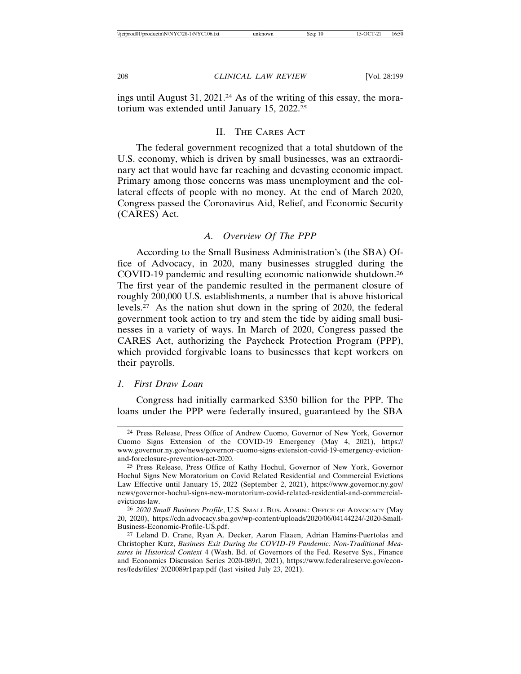ings until August 31, 2021.24 As of the writing of this essay, the moratorium was extended until January 15, 2022.25

# II. THE CARES ACT

The federal government recognized that a total shutdown of the U.S. economy, which is driven by small businesses, was an extraordinary act that would have far reaching and devasting economic impact. Primary among those concerns was mass unemployment and the collateral effects of people with no money. At the end of March 2020, Congress passed the Coronavirus Aid, Relief, and Economic Security (CARES) Act.

# *A. Overview Of The PPP*

According to the Small Business Administration's (the SBA) Office of Advocacy, in 2020, many businesses struggled during the COVID-19 pandemic and resulting economic nationwide shutdown.26 The first year of the pandemic resulted in the permanent closure of roughly 200,000 U.S. establishments, a number that is above historical levels.27 As the nation shut down in the spring of 2020, the federal government took action to try and stem the tide by aiding small businesses in a variety of ways. In March of 2020, Congress passed the CARES Act, authorizing the Paycheck Protection Program (PPP), which provided forgivable loans to businesses that kept workers on their payrolls.

# *1. First Draw Loan*

Congress had initially earmarked \$350 billion for the PPP. The loans under the PPP were federally insured, guaranteed by the SBA

<sup>24</sup> Press Release, Press Office of Andrew Cuomo, Governor of New York, Governor Cuomo Signs Extension of the COVID-19 Emergency (May 4, 2021), https:// www.governor.ny.gov/news/governor-cuomo-signs-extension-covid-19-emergency-evictionand-foreclosure-prevention-act-2020.

<sup>25</sup> Press Release, Press Office of Kathy Hochul, Governor of New York, Governor Hochul Signs New Moratorium on Covid Related Residential and Commercial Evictions Law Effective until January 15, 2022 (September 2, 2021), https://www.governor.ny.gov/ news/governor-hochul-signs-new-moratorium-covid-related-residential-and-commercialevictions-law.

<sup>26</sup> *2020 Small Business Profile*, U.S. SMALL BUS. ADMIN.: OFFICE OF ADVOCACY (May 20, 2020), https://cdn.advocacy.sba.gov/wp-content/uploads/2020/06/04144224/-2020-Small-Business-Economic-Profile-US.pdf.

<sup>27</sup> Leland D. Crane, Ryan A. Decker, Aaron Flaaen, Adrian Hamins-Puertolas and Christopher Kurz, *Business Exit During the COVID-19 Pandemic: Non-Traditional Measures in Historical Context* 4 (Wash. Bd. of Governors of the Fed. Reserve Sys., Finance and Economics Discussion Series 2020-089rl, 2021), https://www.federalreserve.gov/econres/feds/files/ 2020089r1pap.pdf (last visited July 23, 2021).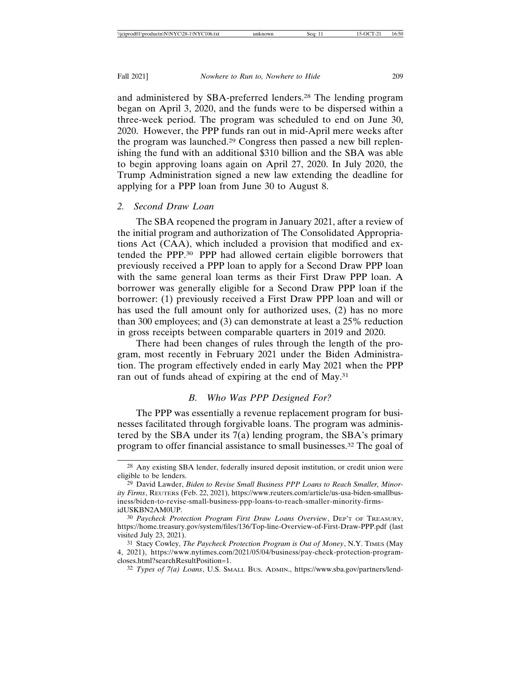and administered by SBA-preferred lenders.28 The lending program began on April 3, 2020, and the funds were to be dispersed within a three-week period. The program was scheduled to end on June 30, 2020. However, the PPP funds ran out in mid-April mere weeks after the program was launched.29 Congress then passed a new bill replenishing the fund with an additional \$310 billion and the SBA was able to begin approving loans again on April 27, 2020. In July 2020, the Trump Administration signed a new law extending the deadline for applying for a PPP loan from June 30 to August 8.

#### *2. Second Draw Loan*

The SBA reopened the program in January 2021, after a review of the initial program and authorization of The Consolidated Appropriations Act (CAA), which included a provision that modified and extended the PPP.30 PPP had allowed certain eligible borrowers that previously received a PPP loan to apply for a Second Draw PPP loan with the same general loan terms as their First Draw PPP loan. A borrower was generally eligible for a Second Draw PPP loan if the borrower: (1) previously received a First Draw PPP loan and will or has used the full amount only for authorized uses, (2) has no more than 300 employees; and (3) can demonstrate at least a 25% reduction in gross receipts between comparable quarters in 2019 and 2020.

There had been changes of rules through the length of the program, most recently in February 2021 under the Biden Administration. The program effectively ended in early May 2021 when the PPP ran out of funds ahead of expiring at the end of May.31

# *B. Who Was PPP Designed For?*

The PPP was essentially a revenue replacement program for businesses facilitated through forgivable loans. The program was administered by the SBA under its 7(a) lending program, the SBA's primary program to offer financial assistance to small businesses.32 The goal of

<sup>28</sup> Any existing SBA lender, federally insured deposit institution, or credit union were eligible to be lenders.

<sup>29</sup> David Lawder, *Biden to Revise Small Business PPP Loans to Reach Smaller, Minority Firms*, REUTERS (Feb. 22, 2021), https://www.reuters.com/article/us-usa-biden-smallbusiness/biden-to-revise-small-business-ppp-loans-to-reach-smaller-minority-firmsidUSKBN2AM0UP.

<sup>30</sup> *Paycheck Protection Program First Draw Loans Overview*, DEP'T OF TREASURY, https://home.treasury.gov/system/files/136/Top-line-Overview-of-First-Draw-PPP.pdf (last visited July 23, 2021).

<sup>31</sup> Stacy Cowley, *The Paycheck Protection Program is Out of Money*, N.Y. TIMES (May 4, 2021), https://www.nytimes.com/2021/05/04/business/pay-check-protection-programcloses.html?searchResultPosition=1.

<sup>32</sup> *Types of 7(a) Loans*, U.S. SMALL BUS. ADMIN., https://www.sba.gov/partners/lend-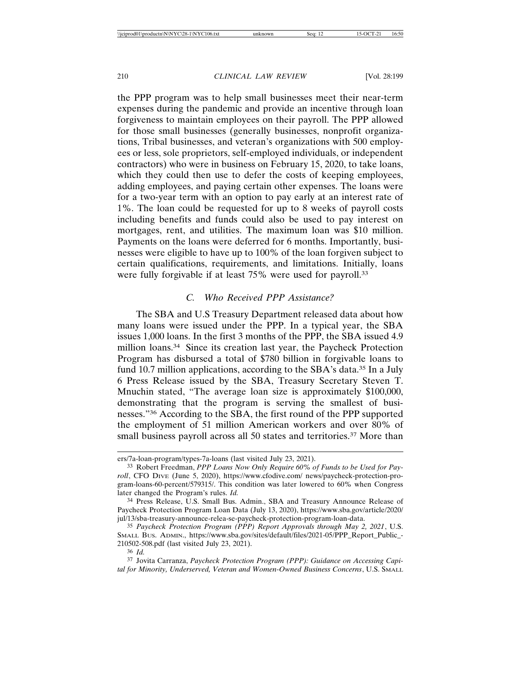the PPP program was to help small businesses meet their near-term expenses during the pandemic and provide an incentive through loan forgiveness to maintain employees on their payroll. The PPP allowed for those small businesses (generally businesses, nonprofit organizations, Tribal businesses, and veteran's organizations with 500 employees or less, sole proprietors, self-employed individuals, or independent contractors) who were in business on February 15, 2020, to take loans, which they could then use to defer the costs of keeping employees, adding employees, and paying certain other expenses. The loans were for a two-year term with an option to pay early at an interest rate of 1%. The loan could be requested for up to 8 weeks of payroll costs including benefits and funds could also be used to pay interest on mortgages, rent, and utilities. The maximum loan was \$10 million. Payments on the loans were deferred for 6 months. Importantly, businesses were eligible to have up to 100% of the loan forgiven subject to certain qualifications, requirements, and limitations. Initially, loans were fully forgivable if at least 75% were used for payroll.<sup>33</sup>

#### *C. Who Received PPP Assistance?*

The SBA and U.S Treasury Department released data about how many loans were issued under the PPP. In a typical year, the SBA issues 1,000 loans. In the first 3 months of the PPP, the SBA issued 4.9 million loans.<sup>34</sup> Since its creation last year, the Paycheck Protection Program has disbursed a total of \$780 billion in forgivable loans to fund 10.7 million applications, according to the SBA's data.<sup>35</sup> In a July 6 Press Release issued by the SBA, Treasury Secretary Steven T. Mnuchin stated, "The average loan size is approximately \$100,000, demonstrating that the program is serving the smallest of businesses."36 According to the SBA, the first round of the PPP supported the employment of 51 million American workers and over 80% of small business payroll across all 50 states and territories.<sup>37</sup> More than

ers/7a-loan-program/types-7a-loans (last visited July 23, 2021).

<sup>33</sup> Robert Freedman, *PPP Loans Now Only Require 60% of Funds to be Used for Payroll*, CFO DIVE (June 5, 2020), https://www.cfodive.com/ news/paycheck-protection-program-loans-60-percent/579315/. This condition was later lowered to 60% when Congress later changed the Program's rules. *Id.*

<sup>34</sup> Press Release, U.S. Small Bus. Admin., SBA and Treasury Announce Release of Paycheck Protection Program Loan Data (July 13, 2020), https://www.sba.gov/article/2020/ jul/13/sba-treasury-announce-relea-se-paycheck-protection-program-loan-data.

<sup>35</sup> *Paycheck Protection Program (PPP) Report Approvals through May 2, 2021*, U.S. SMALL BUS. ADMIN., https://www.sba.gov/sites/default/files/2021-05/PPP\_Report\_Public\_- 210502-508.pdf (last visited July 23, 2021).

<sup>36</sup> *Id.*

<sup>37</sup> Jovita Carranza, *Paycheck Protection Program (PPP): Guidance on Accessing Capital for Minority, Underserved, Veteran and Women-Owned Business Concerns*, U.S. SMALL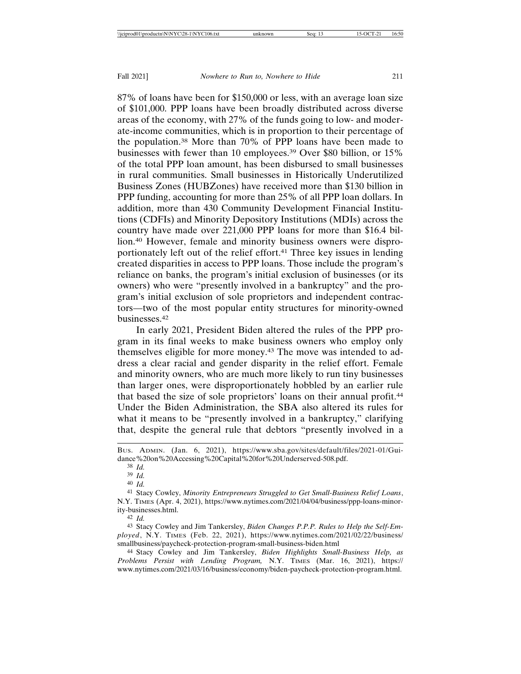87% of loans have been for \$150,000 or less, with an average loan size of \$101,000. PPP loans have been broadly distributed across diverse areas of the economy, with 27% of the funds going to low- and moderate-income communities, which is in proportion to their percentage of the population.38 More than 70% of PPP loans have been made to businesses with fewer than 10 employees.39 Over \$80 billion, or 15% of the total PPP loan amount, has been disbursed to small businesses in rural communities. Small businesses in Historically Underutilized Business Zones (HUBZones) have received more than \$130 billion in PPP funding, accounting for more than 25% of all PPP loan dollars. In addition, more than 430 Community Development Financial Institutions (CDFIs) and Minority Depository Institutions (MDIs) across the country have made over 221,000 PPP loans for more than \$16.4 billion.40 However, female and minority business owners were disproportionately left out of the relief effort.<sup>41</sup> Three key issues in lending created disparities in access to PPP loans. Those include the program's reliance on banks, the program's initial exclusion of businesses (or its owners) who were "presently involved in a bankruptcy" and the program's initial exclusion of sole proprietors and independent contractors—two of the most popular entity structures for minority-owned businesses.42

In early 2021, President Biden altered the rules of the PPP program in its final weeks to make business owners who employ only themselves eligible for more money.43 The move was intended to address a clear racial and gender disparity in the relief effort. Female and minority owners, who are much more likely to run tiny businesses than larger ones, were disproportionately hobbled by an earlier rule that based the size of sole proprietors' loans on their annual profit.44 Under the Biden Administration, the SBA also altered its rules for what it means to be "presently involved in a bankruptcy," clarifying that, despite the general rule that debtors "presently involved in a

38 *Id.*

39 *Id.*

40 *Id.*

42 *Id.*

44 Stacy Cowley and Jim Tankersley, *Biden Highlights Small-Business Help, as Problems Persist with Lending Program,* N.Y. TIMES (Mar. 16, 2021), https:// www.nytimes.com/2021/03/16/business/economy/biden-paycheck-protection-program.html.

BUS. ADMIN. (Jan. 6, 2021), https://www.sba.gov/sites/default/files/2021-01/Guidance%20on%20Accessing%20Capital%20for%20Underserved-508.pdf.

<sup>41</sup> Stacy Cowley, *Minority Entrepreneurs Struggled to Get Small-Business Relief Loans*, N.Y. TIMES (Apr. 4, 2021), https://www.nytimes.com/2021/04/04/business/ppp-loans-minority-businesses.html.

<sup>43</sup> Stacy Cowley and Jim Tankersley, *Biden Changes P.P.P. Rules to Help the Self-Employed*, N.Y. TIMES (Feb. 22, 2021), https://www.nytimes.com/2021/02/22/business/ smallbusiness/paycheck-protection-program-small-business-biden.html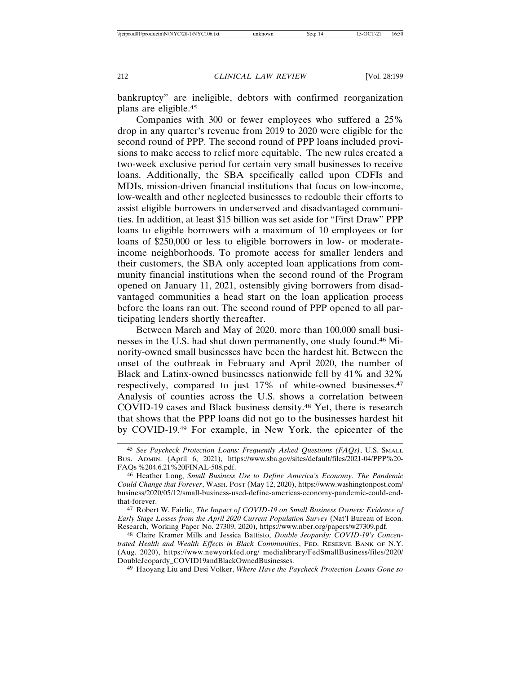bankruptcy" are ineligible, debtors with confirmed reorganization plans are eligible.45

Companies with 300 or fewer employees who suffered a 25% drop in any quarter's revenue from 2019 to 2020 were eligible for the second round of PPP. The second round of PPP loans included provisions to make access to relief more equitable. The new rules created a two-week exclusive period for certain very small businesses to receive loans. Additionally, the SBA specifically called upon CDFIs and MDIs, mission-driven financial institutions that focus on low-income, low-wealth and other neglected businesses to redouble their efforts to assist eligible borrowers in underserved and disadvantaged communities. In addition, at least \$15 billion was set aside for "First Draw" PPP loans to eligible borrowers with a maximum of 10 employees or for loans of \$250,000 or less to eligible borrowers in low- or moderateincome neighborhoods. To promote access for smaller lenders and their customers, the SBA only accepted loan applications from community financial institutions when the second round of the Program opened on January 11, 2021, ostensibly giving borrowers from disadvantaged communities a head start on the loan application process before the loans ran out. The second round of PPP opened to all participating lenders shortly thereafter.

Between March and May of 2020, more than 100,000 small businesses in the U.S. had shut down permanently, one study found.46 Minority-owned small businesses have been the hardest hit. Between the onset of the outbreak in February and April 2020, the number of Black and Latinx-owned businesses nationwide fell by 41% and 32% respectively, compared to just 17% of white-owned businesses.47 Analysis of counties across the U.S. shows a correlation between COVID-19 cases and Black business density.48 Yet, there is research that shows that the PPP loans did not go to the businesses hardest hit by COVID-19.49 For example, in New York, the epicenter of the

49 Haoyang Liu and Desi Volker, *Where Have the Paycheck Protection Loans Gone so*

<sup>45</sup> *See Paycheck Protection Loans: Frequently Asked Questions (FAQs)*, U.S. SMALL BUS. ADMIN. (April 6, 2021), https://www.sba.gov/sites/default/files/2021-04/PPP%20- FAQs %204.6.21%20FINAL-508.pdf.

<sup>46</sup> Heather Long, *Small Business Use to Define America's Economy. The Pandemic Could Change that Forever*, WASH. POST (May 12, 2020), https://www.washingtonpost.com/ business/2020/05/12/small-business-used-define-americas-economy-pandemic-could-endthat-forever.

<sup>47</sup> Robert W. Fairlie, *The Impact of COVID-19 on Small Business Owners: Evidence of Early Stage Losses from the April 2020 Current Population Survey* (Nat'l Bureau of Econ. Research, Working Paper No. 27309, 2020), https://www.nber.org/papers/w27309.pdf.

<sup>48</sup> Claire Kramer Mills and Jessica Battisto, *Double Jeopardy: COVID-19's Concentrated Health and Wealth Effects in Black Communities*, FED. RESERVE BANK OF N.Y. (Aug. 2020), https://www.newyorkfed.org/ medialibrary/FedSmallBusiness/files/2020/ DoubleJeopardy\_COVID19andBlackOwnedBusinesses.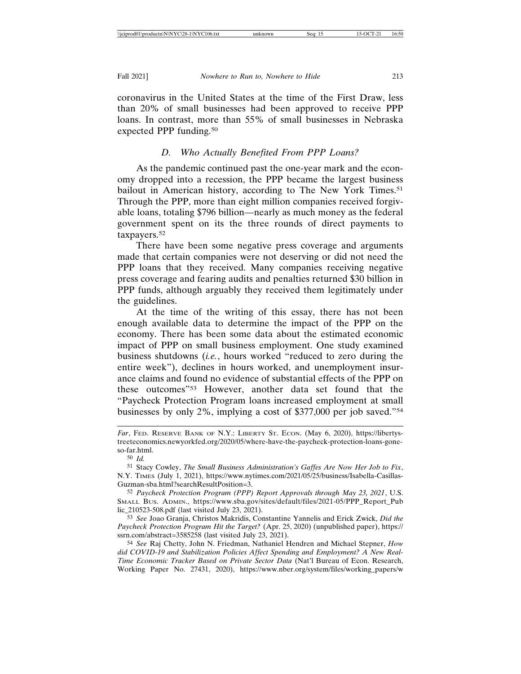coronavirus in the United States at the time of the First Draw, less than 20% of small businesses had been approved to receive PPP loans. In contrast, more than 55% of small businesses in Nebraska expected PPP funding.<sup>50</sup>

#### *D. Who Actually Benefited From PPP Loans?*

As the pandemic continued past the one-year mark and the economy dropped into a recession, the PPP became the largest business bailout in American history, according to The New York Times.<sup>51</sup> Through the PPP, more than eight million companies received forgivable loans, totaling \$796 billion—nearly as much money as the federal government spent on its the three rounds of direct payments to taxpayers.52

There have been some negative press coverage and arguments made that certain companies were not deserving or did not need the PPP loans that they received. Many companies receiving negative press coverage and fearing audits and penalties returned \$30 billion in PPP funds, although arguably they received them legitimately under the guidelines.

At the time of the writing of this essay, there has not been enough available data to determine the impact of the PPP on the economy. There has been some data about the estimated economic impact of PPP on small business employment. One study examined business shutdowns (*i.e.*, hours worked "reduced to zero during the entire week"), declines in hours worked, and unemployment insurance claims and found no evidence of substantial effects of the PPP on these outcomes"53 However, another data set found that the "Paycheck Protection Program loans increased employment at small businesses by only 2%, implying a cost of \$377,000 per job saved."54

54 *See* Raj Chetty, John N. Friedman, Nathaniel Hendren and Michael Stepner, *How did COVID-19 and Stabilization Policies Affect Spending and Employment? A New Real-Time Economic Tracker Based on Private Sector Data* (Nat'l Bureau of Econ. Research, Working Paper No. 27431, 2020), https://www.nber.org/system/files/working\_papers/w

*Far*, FED. RESERVE BANK OF N.Y.: LIBERTY ST. ECON. (May 6, 2020), https://libertystreeteconomics.newyorkfed.org/2020/05/where-have-the-paycheck-protection-loans-goneso-far.html.

<sup>50</sup> *Id.*

<sup>51</sup> Stacy Cowley, *The Small Business Administration's Gaffes Are Now Her Job to Fix*, N.Y. TIMES (July 1, 2021), https://www.nytimes.com/2021/05/25/business/Isabella-Casillas-Guzman-sba.html?searchResultPosition=3.

<sup>52</sup> *Paycheck Protection Program (PPP) Report Approvals through May 23, 2021*, U.S. SMALL BUS. ADMIN., https://www.sba.gov/sites/default/files/2021-05/PPP\_Report\_Pub lic\_210523-508.pdf (last visited July 23, 2021).

<sup>53</sup> *See* Joao Granja, Christos Makridis, Constantine Yannelis and Erick Zwick, *Did the Paycheck Protection Program Hit the Target?* (Apr. 25, 2020) (unpublished paper), https:// ssrn.com/abstract=3585258 (last visited July 23, 2021).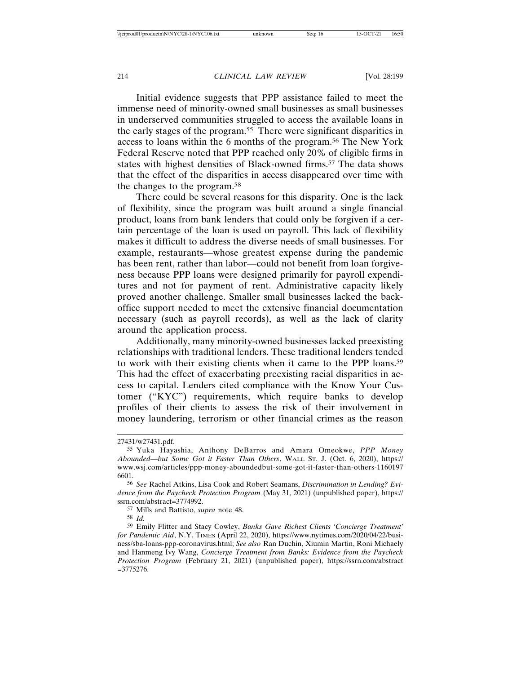Initial evidence suggests that PPP assistance failed to meet the immense need of minority-owned small businesses as small businesses in underserved communities struggled to access the available loans in the early stages of the program.55 There were significant disparities in access to loans within the 6 months of the program.56 The New York Federal Reserve noted that PPP reached only 20% of eligible firms in states with highest densities of Black-owned firms.<sup>57</sup> The data shows that the effect of the disparities in access disappeared over time with the changes to the program.58

There could be several reasons for this disparity. One is the lack of flexibility, since the program was built around a single financial product, loans from bank lenders that could only be forgiven if a certain percentage of the loan is used on payroll. This lack of flexibility makes it difficult to address the diverse needs of small businesses. For example, restaurants—whose greatest expense during the pandemic has been rent, rather than labor—could not benefit from loan forgiveness because PPP loans were designed primarily for payroll expenditures and not for payment of rent. Administrative capacity likely proved another challenge. Smaller small businesses lacked the backoffice support needed to meet the extensive financial documentation necessary (such as payroll records), as well as the lack of clarity around the application process.

Additionally, many minority-owned businesses lacked preexisting relationships with traditional lenders. These traditional lenders tended to work with their existing clients when it came to the PPP loans.59 This had the effect of exacerbating preexisting racial disparities in access to capital. Lenders cited compliance with the Know Your Customer ("KYC") requirements, which require banks to develop profiles of their clients to assess the risk of their involvement in money laundering, terrorism or other financial crimes as the reason

<sup>27431/</sup>w27431.pdf.

<sup>55</sup> Yuka Hayashia, Anthony DeBarros and Amara Omeokwe, *PPP Money Abounded—but Some Got it Faster Than Others*, WALL ST. J. (Oct. 6, 2020), https:// www.wsj.com/articles/ppp-money-aboundedbut-some-got-it-faster-than-others-1160197 6601.

<sup>56</sup> *See* Rachel Atkins, Lisa Cook and Robert Seamans, *Discrimination in Lending? Evidence from the Paycheck Protection Program* (May 31, 2021) (unpublished paper), https:// ssrn.com/abstract=3774992.

<sup>57</sup> Mills and Battisto, *supra* note 48.

<sup>58</sup> *Id.*

<sup>59</sup> Emily Flitter and Stacy Cowley, *Banks Gave Richest Clients 'Concierge Treatment' for Pandemic Aid*, N.Y. TIMES (April 22, 2020), https://www.nytimes.com/2020/04/22/business/sba-loans-ppp-coronavirus.html; *See also* Ran Duchin, Xiumin Martin, Roni Michaely and Hanmeng Ivy Wang, *Concierge Treatment from Banks: Evidence from the Paycheck Protection Program* (February 21, 2021) (unpublished paper), https://ssrn.com/abstract  $=$ 3775276.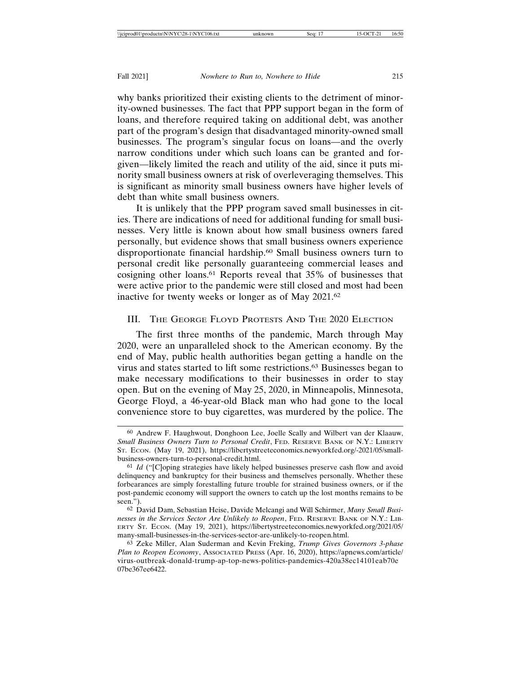why banks prioritized their existing clients to the detriment of minority-owned businesses. The fact that PPP support began in the form of loans, and therefore required taking on additional debt, was another part of the program's design that disadvantaged minority-owned small businesses. The program's singular focus on loans—and the overly narrow conditions under which such loans can be granted and forgiven—likely limited the reach and utility of the aid, since it puts minority small business owners at risk of overleveraging themselves. This is significant as minority small business owners have higher levels of debt than white small business owners.

It is unlikely that the PPP program saved small businesses in cities. There are indications of need for additional funding for small businesses. Very little is known about how small business owners fared personally, but evidence shows that small business owners experience disproportionate financial hardship.<sup>60</sup> Small business owners turn to personal credit like personally guaranteeing commercial leases and cosigning other loans.61 Reports reveal that 35% of businesses that were active prior to the pandemic were still closed and most had been inactive for twenty weeks or longer as of May 2021.62

# III. THE GEORGE FLOYD PROTESTS AND THE 2020 ELECTION

The first three months of the pandemic, March through May 2020, were an unparalleled shock to the American economy. By the end of May, public health authorities began getting a handle on the virus and states started to lift some restrictions.63 Businesses began to make necessary modifications to their businesses in order to stay open. But on the evening of May 25, 2020, in Minneapolis, Minnesota, George Floyd, a 46-year-old Black man who had gone to the local convenience store to buy cigarettes, was murdered by the police. The

<sup>60</sup> Andrew F. Haughwout, Donghoon Lee, Joelle Scally and Wilbert van der Klaauw, *Small Business Owners Turn to Personal Credit*, FED. RESERVE BANK OF N.Y.: LIBERTY ST. ECON. (May 19, 2021), https://libertystreeteconomics.newyorkfed.org/-2021/05/smallbusiness-owners-turn-to-personal-credit.html.

<sup>61</sup> *Id* ("[C]oping strategies have likely helped businesses preserve cash flow and avoid delinquency and bankruptcy for their business and themselves personally. Whether these forbearances are simply forestalling future trouble for strained business owners, or if the post-pandemic economy will support the owners to catch up the lost months remains to be seen.").

<sup>62</sup> David Dam, Sebastian Heise, Davide Melcangi and Will Schirmer, *Many Small Businesses in the Services Sector Are Unlikely to Reopen*, FED. RESERVE BANK OF N.Y.: LIB-ERTY ST. ECON. (May 19, 2021), https://libertystreeteconomics.newyorkfed.org/2021/05/ many-small-businesses-in-the-services-sector-are-unlikely-to-reopen.html.

<sup>63</sup> Zeke Miller, Alan Suderman and Kevin Freking, *Trump Gives Governors 3-phase Plan to Reopen Economy*, ASSOCIATED PRESS (Apr. 16, 2020), https://apnews.com/article/ virus-outbreak-donald-trump-ap-top-news-politics-pandemics-420a38ec14101eab70e 07be367ee6422.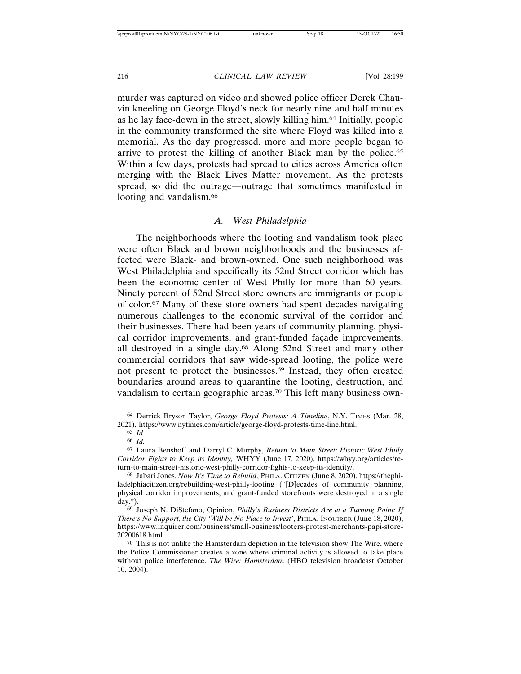murder was captured on video and showed police officer Derek Chauvin kneeling on George Floyd's neck for nearly nine and half minutes as he lay face-down in the street, slowly killing him.64 Initially, people in the community transformed the site where Floyd was killed into a memorial. As the day progressed, more and more people began to arrive to protest the killing of another Black man by the police.<sup>65</sup> Within a few days, protests had spread to cities across America often merging with the Black Lives Matter movement. As the protests spread, so did the outrage—outrage that sometimes manifested in looting and vandalism.<sup>66</sup>

# *A. West Philadelphia*

The neighborhoods where the looting and vandalism took place were often Black and brown neighborhoods and the businesses affected were Black- and brown-owned. One such neighborhood was West Philadelphia and specifically its 52nd Street corridor which has been the economic center of West Philly for more than 60 years. Ninety percent of 52nd Street store owners are immigrants or people of color.67 Many of these store owners had spent decades navigating numerous challenges to the economic survival of the corridor and their businesses. There had been years of community planning, physical corridor improvements, and grant-funded façade improvements, all destroyed in a single day.68 Along 52nd Street and many other commercial corridors that saw wide-spread looting, the police were not present to protect the businesses.69 Instead, they often created boundaries around areas to quarantine the looting, destruction, and vandalism to certain geographic areas.70 This left many business own-

<sup>64</sup> Derrick Bryson Taylor, *George Floyd Protests: A Timeline*, N.Y. TIMES (Mar. 28, 2021), https://www.nytimes.com/article/george-floyd-protests-time-line.html.

<sup>65</sup> *Id.*

<sup>66</sup> *Id.*

<sup>67</sup> Laura Benshoff and Darryl C. Murphy, *Return to Main Street: Historic West Philly Corridor Fights to Keep its Identity,* WHYY (June 17, 2020), https://whyy.org/articles/return-to-main-street-historic-west-philly-corridor-fights-to-keep-its-identity/.

<sup>68</sup> Jabari Jones, *Now It's Time to Rebuild*, PHILA. CITIZEN (June 8, 2020), https://thephiladelphiacitizen.org/rebuilding-west-philly-looting ("[D]ecades of community planning, physical corridor improvements, and grant-funded storefronts were destroyed in a single day.").

<sup>69</sup> Joseph N. DiStefano, Opinion, *Philly's Business Districts Are at a Turning Point: If There's No Support, the City 'Will be No Place to Invest'*, PHILA. INQUIRER (June 18, 2020), https://www.inquirer.com/business/small-business/looters-protest-merchants-papi-store-20200618.html.

 $70$  This is not unlike the Hamsterdam depiction in the television show The Wire, where the Police Commissioner creates a zone where criminal activity is allowed to take place without police interference. *The Wire: Hamsterdam* (HBO television broadcast October 10, 2004).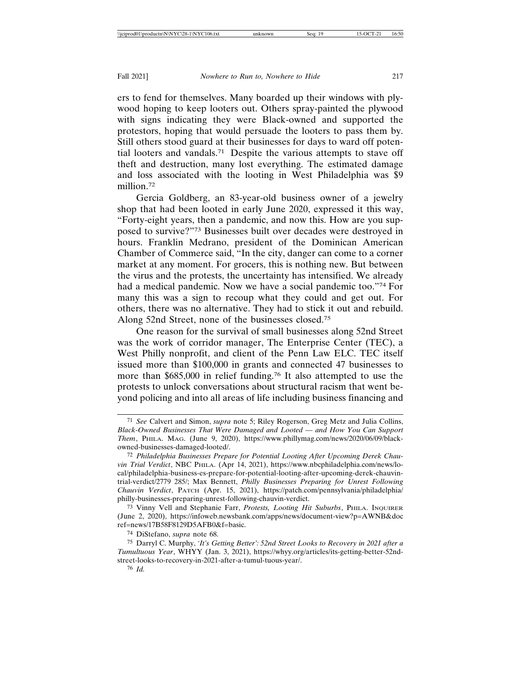ers to fend for themselves. Many boarded up their windows with plywood hoping to keep looters out. Others spray-painted the plywood with signs indicating they were Black-owned and supported the protestors, hoping that would persuade the looters to pass them by. Still others stood guard at their businesses for days to ward off potential looters and vandals.71 Despite the various attempts to stave off theft and destruction, many lost everything. The estimated damage and loss associated with the looting in West Philadelphia was \$9 million.72

Gercia Goldberg, an 83-year-old business owner of a jewelry shop that had been looted in early June 2020, expressed it this way, "Forty-eight years, then a pandemic, and now this. How are you supposed to survive?"73 Businesses built over decades were destroyed in hours. Franklin Medrano, president of the Dominican American Chamber of Commerce said, "In the city, danger can come to a corner market at any moment. For grocers, this is nothing new. But between the virus and the protests, the uncertainty has intensified. We already had a medical pandemic. Now we have a social pandemic too."74 For many this was a sign to recoup what they could and get out. For others, there was no alternative. They had to stick it out and rebuild. Along 52nd Street, none of the businesses closed.75

One reason for the survival of small businesses along 52nd Street was the work of corridor manager, The Enterprise Center (TEC), a West Philly nonprofit, and client of the Penn Law ELC. TEC itself issued more than \$100,000 in grants and connected 47 businesses to more than \$685,000 in relief funding.<sup>76</sup> It also attempted to use the protests to unlock conversations about structural racism that went beyond policing and into all areas of life including business financing and

<sup>71</sup> *See* Calvert and Simon, *supra* note 5; Riley Rogerson, Greg Metz and Julia Collins, *Black-Owned Businesses That Were Damaged and Looted — and How You Can Support Them*, PHILA. MAG. (June 9, 2020), https://www.phillymag.com/news/2020/06/09/blackowned-businesses-damaged-looted/.

<sup>72</sup> *Philadelphia Businesses Prepare for Potential Looting After Upcoming Derek Chauvin Trial Verdict*, NBC PHILA. (Apr 14, 2021), https://www.nbcphiladelphia.com/news/local/philadelphia-business-es-prepare-for-potential-looting-after-upcoming-derek-chauvintrial-verdict/2779 285/; Max Bennett, *Philly Businesses Preparing for Unrest Following Chauvin Verdict*, PATCH (Apr. 15, 2021), https://patch.com/pennsylvania/philadelphia/ philly-businesses-preparing-unrest-following-chauvin-verdict.

<sup>73</sup> Vinny Vell and Stephanie Farr, *Protests, Looting Hit Suburbs*, PHILA. INQUIRER (June 2, 2020), https://infoweb.newsbank.com/apps/news/document-view?p=AWNB&doc ref=news/17B58F8129D5AFB0&f=basic.

<sup>74</sup> DiStefano, *supra* note 68.

<sup>75</sup> Darryl C. Murphy, *'It's Getting Better': 52nd Street Looks to Recovery in 2021 after a Tumultuous Year*, WHYY (Jan. 3, 2021), https://whyy.org/articles/its-getting-better-52ndstreet-looks-to-recovery-in-2021-after-a-tumul-tuous-year/.

<sup>76</sup> *Id.*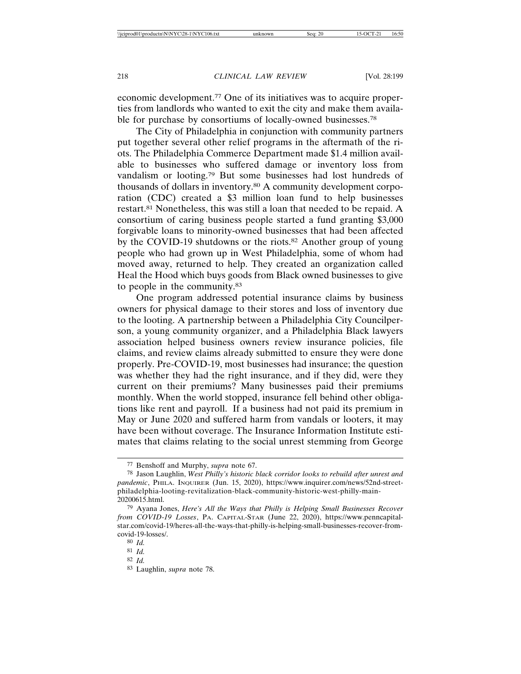economic development.77 One of its initiatives was to acquire properties from landlords who wanted to exit the city and make them available for purchase by consortiums of locally-owned businesses.<sup>78</sup>

The City of Philadelphia in conjunction with community partners put together several other relief programs in the aftermath of the riots. The Philadelphia Commerce Department made \$1.4 million available to businesses who suffered damage or inventory loss from vandalism or looting.79 But some businesses had lost hundreds of thousands of dollars in inventory.80 A community development corporation (CDC) created a \$3 million loan fund to help businesses restart.81 Nonetheless, this was still a loan that needed to be repaid. A consortium of caring business people started a fund granting \$3,000 forgivable loans to minority-owned businesses that had been affected by the COVID-19 shutdowns or the riots.<sup>82</sup> Another group of young people who had grown up in West Philadelphia, some of whom had moved away, returned to help. They created an organization called Heal the Hood which buys goods from Black owned businesses to give to people in the community.83

One program addressed potential insurance claims by business owners for physical damage to their stores and loss of inventory due to the looting. A partnership between a Philadelphia City Councilperson, a young community organizer, and a Philadelphia Black lawyers association helped business owners review insurance policies, file claims, and review claims already submitted to ensure they were done properly. Pre-COVID-19, most businesses had insurance; the question was whether they had the right insurance, and if they did, were they current on their premiums? Many businesses paid their premiums monthly. When the world stopped, insurance fell behind other obligations like rent and payroll. If a business had not paid its premium in May or June 2020 and suffered harm from vandals or looters, it may have been without coverage. The Insurance Information Institute estimates that claims relating to the social unrest stemming from George

<sup>77</sup> Benshoff and Murphy, *supra* note 67.

<sup>78</sup> Jason Laughlin, *West Philly's historic black corridor looks to rebuild after unrest and pandemic*, PHILA. INQUIRER (Jun. 15, 2020), https://www.inquirer.com/news/52nd-streetphiladelphia-looting-revitalization-black-community-historic-west-philly-main-20200615.html.

<sup>79</sup> Ayana Jones, *Here's All the Ways that Philly is Helping Small Businesses Recover from COVID-19 Losses*, PA. CAPITAL-STAR (June 22, 2020), https://www.penncapitalstar.com/covid-19/heres-all-the-ways-that-philly-is-helping-small-businesses-recover-fromcovid-19-losses/.

<sup>80</sup> *Id.*

<sup>81</sup> *Id.*

<sup>82</sup> *Id.*

<sup>83</sup> Laughlin, *supra* note 78.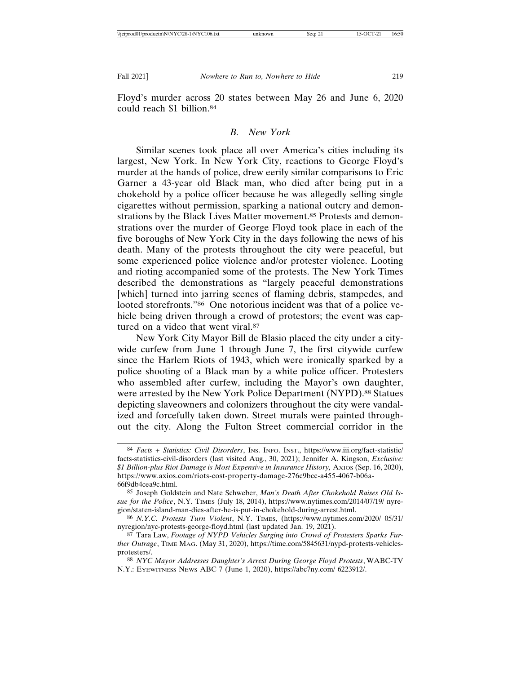Floyd's murder across 20 states between May 26 and June 6, 2020 could reach \$1 billion.84

# *B. New York*

Similar scenes took place all over America's cities including its largest, New York. In New York City, reactions to George Floyd's murder at the hands of police, drew eerily similar comparisons to Eric Garner a 43-year old Black man, who died after being put in a chokehold by a police officer because he was allegedly selling single cigarettes without permission, sparking a national outcry and demonstrations by the Black Lives Matter movement.85 Protests and demonstrations over the murder of George Floyd took place in each of the five boroughs of New York City in the days following the news of his death. Many of the protests throughout the city were peaceful, but some experienced police violence and/or protester violence. Looting and rioting accompanied some of the protests. The New York Times described the demonstrations as "largely peaceful demonstrations [which] turned into jarring scenes of flaming debris, stampedes, and looted storefronts."86 One notorious incident was that of a police vehicle being driven through a crowd of protestors; the event was captured on a video that went viral.<sup>87</sup>

New York City Mayor Bill de Blasio placed the city under a citywide curfew from June 1 through June 7, the first citywide curfew since the Harlem Riots of 1943, which were ironically sparked by a police shooting of a Black man by a white police officer. Protesters who assembled after curfew, including the Mayor's own daughter, were arrested by the New York Police Department (NYPD).<sup>88</sup> Statues depicting slaveowners and colonizers throughout the city were vandalized and forcefully taken down. Street murals were painted throughout the city. Along the Fulton Street commercial corridor in the

<sup>84</sup> *Facts + Statistics: Civil Disorders*, INS. INFO. INST., https://www.iii.org/fact-statistic/ facts-statistics-civil-disorders (last visited Aug., 30, 2021); Jennifer A. Kingson, *Exclusive: \$1 Billion-plus Riot Damage is Most Expensive in Insurance History,* AXIOS (Sep. 16, 2020), https://www.axios.com/riots-cost-property-damage-276c9bcc-a455-4067-b06a-66f9db4cea9c.html.

<sup>85</sup> Joseph Goldstein and Nate Schweber, *Man's Death After Chokehold Raises Old Issue for the Police*, N.Y. TIMES (July 18, 2014), https://www.nytimes.com/2014/07/19/ nyregion/staten-island-man-dies-after-he-is-put-in-chokehold-during-arrest.html.

<sup>86</sup> *N.Y.C. Protests Turn Violent*, N.Y. TIMES, (https://www.nytimes.com/2020/ 05/31/ nyregion/nyc-protests-george-floyd.html (last updated Jan. 19, 2021).

<sup>87</sup> Tara Law, *Footage of NYPD Vehicles Surging into Crowd of Protesters Sparks Further Outrage*, TIME MAG. (May 31, 2020), https://time.com/5845631/nypd-protests-vehiclesprotesters/.

<sup>88</sup> *NYC Mayor Addresses Daughter's Arrest During George Floyd Protests*, WABC-TV N.Y.: EYEWITNESS NEWS ABC 7 (June 1, 2020), https://abc7ny.com/ 6223912/.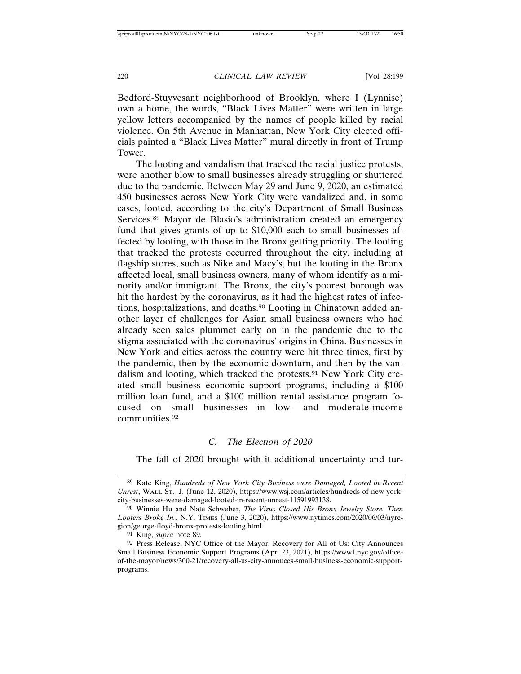Bedford-Stuyvesant neighborhood of Brooklyn, where I (Lynnise) own a home, the words, "Black Lives Matter" were written in large yellow letters accompanied by the names of people killed by racial violence. On 5th Avenue in Manhattan, New York City elected officials painted a "Black Lives Matter" mural directly in front of Trump Tower.

The looting and vandalism that tracked the racial justice protests, were another blow to small businesses already struggling or shuttered due to the pandemic. Between May 29 and June 9, 2020, an estimated 450 businesses across New York City were vandalized and, in some cases, looted, according to the city's Department of Small Business Services.89 Mayor de Blasio's administration created an emergency fund that gives grants of up to \$10,000 each to small businesses affected by looting, with those in the Bronx getting priority. The looting that tracked the protests occurred throughout the city, including at flagship stores, such as Nike and Macy's, but the looting in the Bronx affected local, small business owners, many of whom identify as a minority and/or immigrant. The Bronx, the city's poorest borough was hit the hardest by the coronavirus, as it had the highest rates of infections, hospitalizations, and deaths.<sup>90</sup> Looting in Chinatown added another layer of challenges for Asian small business owners who had already seen sales plummet early on in the pandemic due to the stigma associated with the coronavirus' origins in China. Businesses in New York and cities across the country were hit three times, first by the pandemic, then by the economic downturn, and then by the vandalism and looting, which tracked the protests.91 New York City created small business economic support programs, including a \$100 million loan fund, and a \$100 million rental assistance program focused on small businesses in low- and moderate-income communities.92

# *C. The Election of 2020*

The fall of 2020 brought with it additional uncertainty and tur-

<sup>89</sup> Kate King, *Hundreds of New York City Business were Damaged, Looted in Recent Unrest*, WALL ST. J. (June 12, 2020), https://www.wsj.com/articles/hundreds-of-new-yorkcity-businesses-were-damaged-looted-in-recent-unrest-11591993138.

<sup>90</sup> Winnie Hu and Nate Schweber, *The Virus Closed His Bronx Jewelry Store. Then Looters Broke In.*, N.Y. TIMES (June 3, 2020), https://www.nytimes.com/2020/06/03/nyregion/george-floyd-bronx-protests-looting.html.

<sup>91</sup> King, *supra* note 89.

<sup>92</sup> Press Release, NYC Office of the Mayor, Recovery for All of Us: City Announces Small Business Economic Support Programs (Apr. 23, 2021), https://www1.nyc.gov/officeof-the-mayor/news/300-21/recovery-all-us-city-annouces-small-business-economic-supportprograms.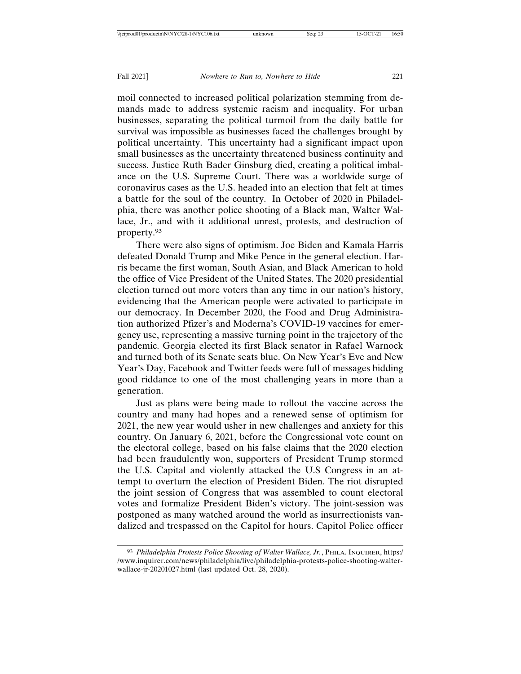moil connected to increased political polarization stemming from demands made to address systemic racism and inequality. For urban businesses, separating the political turmoil from the daily battle for survival was impossible as businesses faced the challenges brought by political uncertainty. This uncertainty had a significant impact upon small businesses as the uncertainty threatened business continuity and success. Justice Ruth Bader Ginsburg died, creating a political imbalance on the U.S. Supreme Court. There was a worldwide surge of coronavirus cases as the U.S. headed into an election that felt at times a battle for the soul of the country. In October of 2020 in Philadelphia, there was another police shooting of a Black man, Walter Wallace, Jr., and with it additional unrest, protests, and destruction of property.93

There were also signs of optimism. Joe Biden and Kamala Harris defeated Donald Trump and Mike Pence in the general election. Harris became the first woman, South Asian, and Black American to hold the office of Vice President of the United States. The 2020 presidential election turned out more voters than any time in our nation's history, evidencing that the American people were activated to participate in our democracy. In December 2020, the Food and Drug Administration authorized Pfizer's and Moderna's COVID-19 vaccines for emergency use, representing a massive turning point in the trajectory of the pandemic. Georgia elected its first Black senator in Rafael Warnock and turned both of its Senate seats blue. On New Year's Eve and New Year's Day, Facebook and Twitter feeds were full of messages bidding good riddance to one of the most challenging years in more than a generation.

Just as plans were being made to rollout the vaccine across the country and many had hopes and a renewed sense of optimism for 2021, the new year would usher in new challenges and anxiety for this country. On January 6, 2021, before the Congressional vote count on the electoral college, based on his false claims that the 2020 election had been fraudulently won, supporters of President Trump stormed the U.S. Capital and violently attacked the U.S Congress in an attempt to overturn the election of President Biden. The riot disrupted the joint session of Congress that was assembled to count electoral votes and formalize President Biden's victory. The joint-session was postponed as many watched around the world as insurrectionists vandalized and trespassed on the Capitol for hours. Capitol Police officer

<sup>93</sup> *Philadelphia Protests Police Shooting of Walter Wallace, Jr.*, PHILA. INQUIRER, https:/ /www.inquirer.com/news/philadelphia/live/philadelphia-protests-police-shooting-walterwallace-jr-20201027.html (last updated Oct. 28, 2020).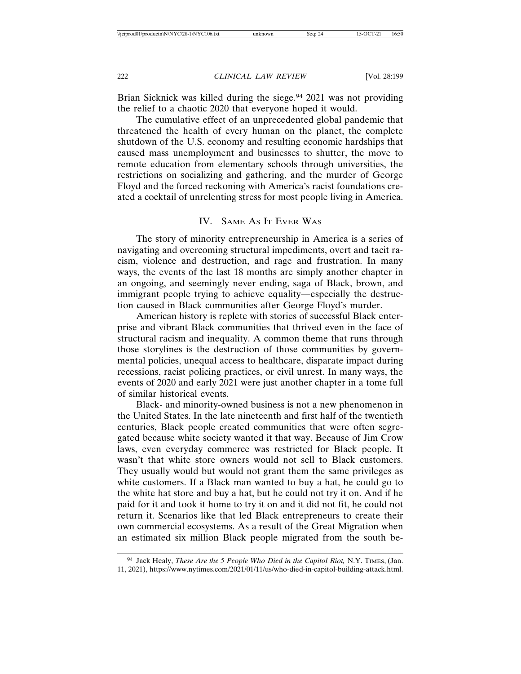Brian Sicknick was killed during the siege.<sup>94</sup> 2021 was not providing the relief to a chaotic 2020 that everyone hoped it would.

The cumulative effect of an unprecedented global pandemic that threatened the health of every human on the planet, the complete shutdown of the U.S. economy and resulting economic hardships that caused mass unemployment and businesses to shutter, the move to remote education from elementary schools through universities, the restrictions on socializing and gathering, and the murder of George Floyd and the forced reckoning with America's racist foundations created a cocktail of unrelenting stress for most people living in America.

# IV. SAME AS IT EVER WAS

The story of minority entrepreneurship in America is a series of navigating and overcoming structural impediments, overt and tacit racism, violence and destruction, and rage and frustration. In many ways, the events of the last 18 months are simply another chapter in an ongoing, and seemingly never ending, saga of Black, brown, and immigrant people trying to achieve equality—especially the destruction caused in Black communities after George Floyd's murder.

American history is replete with stories of successful Black enterprise and vibrant Black communities that thrived even in the face of structural racism and inequality. A common theme that runs through those storylines is the destruction of those communities by governmental policies, unequal access to healthcare, disparate impact during recessions, racist policing practices, or civil unrest. In many ways, the events of 2020 and early 2021 were just another chapter in a tome full of similar historical events.

Black- and minority-owned business is not a new phenomenon in the United States. In the late nineteenth and first half of the twentieth centuries, Black people created communities that were often segregated because white society wanted it that way. Because of Jim Crow laws, even everyday commerce was restricted for Black people. It wasn't that white store owners would not sell to Black customers. They usually would but would not grant them the same privileges as white customers. If a Black man wanted to buy a hat, he could go to the white hat store and buy a hat, but he could not try it on. And if he paid for it and took it home to try it on and it did not fit, he could not return it. Scenarios like that led Black entrepreneurs to create their own commercial ecosystems. As a result of the Great Migration when an estimated six million Black people migrated from the south be-

<sup>94</sup> Jack Healy, *These Are the 5 People Who Died in the Capitol Riot,* N.Y. TIMES, (Jan. 11, 2021), https://www.nytimes.com/2021/01/11/us/who-died-in-capitol-building-attack.html.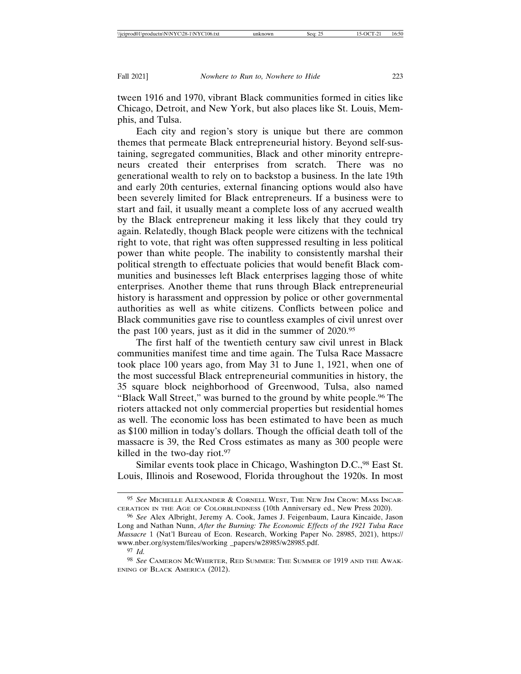tween 1916 and 1970, vibrant Black communities formed in cities like Chicago, Detroit, and New York, but also places like St. Louis, Memphis, and Tulsa.

Each city and region's story is unique but there are common themes that permeate Black entrepreneurial history. Beyond self-sustaining, segregated communities, Black and other minority entrepreneurs created their enterprises from scratch. There was no generational wealth to rely on to backstop a business. In the late 19th and early 20th centuries, external financing options would also have been severely limited for Black entrepreneurs. If a business were to start and fail, it usually meant a complete loss of any accrued wealth by the Black entrepreneur making it less likely that they could try again. Relatedly, though Black people were citizens with the technical right to vote, that right was often suppressed resulting in less political power than white people. The inability to consistently marshal their political strength to effectuate policies that would benefit Black communities and businesses left Black enterprises lagging those of white enterprises. Another theme that runs through Black entrepreneurial history is harassment and oppression by police or other governmental authorities as well as white citizens. Conflicts between police and Black communities gave rise to countless examples of civil unrest over the past 100 years, just as it did in the summer of 2020.95

The first half of the twentieth century saw civil unrest in Black communities manifest time and time again. The Tulsa Race Massacre took place 100 years ago, from May 31 to June 1, 1921, when one of the most successful Black entrepreneurial communities in history, the 35 square block neighborhood of Greenwood, Tulsa, also named "Black Wall Street," was burned to the ground by white people.96 The rioters attacked not only commercial properties but residential homes as well. The economic loss has been estimated to have been as much as \$100 million in today's dollars. Though the official death toll of the massacre is 39, the Red Cross estimates as many as 300 people were killed in the two-day riot.<sup>97</sup>

Similar events took place in Chicago, Washington D.C.,<sup>98</sup> East St. Louis, Illinois and Rosewood, Florida throughout the 1920s. In most

<sup>95</sup> *See* MICHELLE ALEXANDER & CORNELL WEST, THE NEW JIM CROW: MASS INCAR-CERATION IN THE AGE OF COLORBLINDNESS (10th Anniversary ed., New Press 2020).

<sup>96</sup> *See* Alex Albright, Jeremy A. Cook, James J. Feigenbaum, Laura Kincaide, Jason Long and Nathan Nunn, *After the Burning: The Economic Effects of the 1921 Tulsa Race Massacre* 1 (Nat'l Bureau of Econ. Research, Working Paper No. 28985, 2021), https:// www.nber.org/system/files/working \_papers/w28985/w28985.pdf.

<sup>97</sup> *Id.*

<sup>98</sup> *See* CAMERON MCWHIRTER, RED SUMMER: THE SUMMER OF 1919 AND THE AWAK-ENING OF BLACK AMERICA (2012).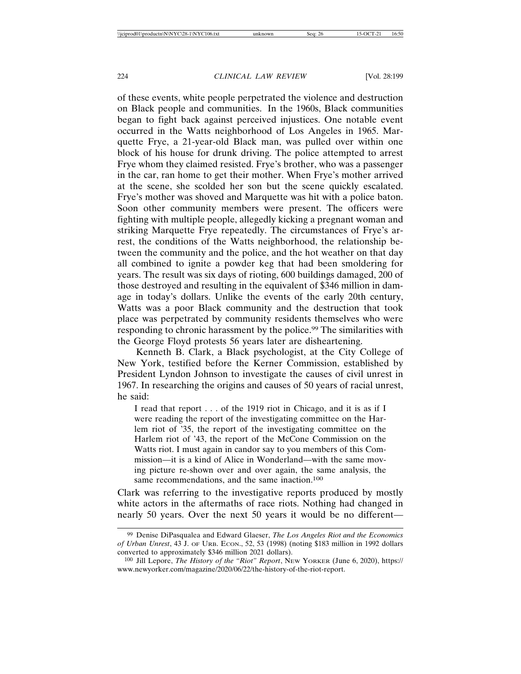of these events, white people perpetrated the violence and destruction on Black people and communities. In the 1960s, Black communities began to fight back against perceived injustices. One notable event occurred in the Watts neighborhood of Los Angeles in 1965. Marquette Frye, a 21-year-old Black man, was pulled over within one block of his house for drunk driving. The police attempted to arrest Frye whom they claimed resisted. Frye's brother, who was a passenger in the car, ran home to get their mother. When Frye's mother arrived at the scene, she scolded her son but the scene quickly escalated. Frye's mother was shoved and Marquette was hit with a police baton. Soon other community members were present. The officers were fighting with multiple people, allegedly kicking a pregnant woman and striking Marquette Frye repeatedly. The circumstances of Frye's arrest, the conditions of the Watts neighborhood, the relationship between the community and the police, and the hot weather on that day all combined to ignite a powder keg that had been smoldering for years. The result was six days of rioting, 600 buildings damaged, 200 of those destroyed and resulting in the equivalent of \$346 million in damage in today's dollars. Unlike the events of the early 20th century, Watts was a poor Black community and the destruction that took place was perpetrated by community residents themselves who were responding to chronic harassment by the police.<sup>99</sup> The similarities with the George Floyd protests 56 years later are disheartening.

Kenneth B. Clark, a Black psychologist, at the City College of New York, testified before the Kerner Commission, established by President Lyndon Johnson to investigate the causes of civil unrest in 1967. In researching the origins and causes of 50 years of racial unrest, he said:

I read that report . . . of the 1919 riot in Chicago, and it is as if I were reading the report of the investigating committee on the Harlem riot of '35, the report of the investigating committee on the Harlem riot of '43, the report of the McCone Commission on the Watts riot. I must again in candor say to you members of this Commission—it is a kind of Alice in Wonderland—with the same moving picture re-shown over and over again, the same analysis, the same recommendations, and the same inaction.<sup>100</sup>

Clark was referring to the investigative reports produced by mostly white actors in the aftermaths of race riots. Nothing had changed in nearly 50 years. Over the next 50 years it would be no different—

<sup>99</sup> Denise DiPasqualea and Edward Glaeser, *The Los Angeles Riot and the Economics of Urban Unrest*, 43 J. OF URB. ECON., 52, 53 (1998) (noting \$183 million in 1992 dollars converted to approximately \$346 million 2021 dollars).

<sup>100</sup> Jill Lepore, *The History of the "Riot" Report*, NEW YORKER (June 6, 2020), https:// www.newyorker.com/magazine/2020/06/22/the-history-of-the-riot-report.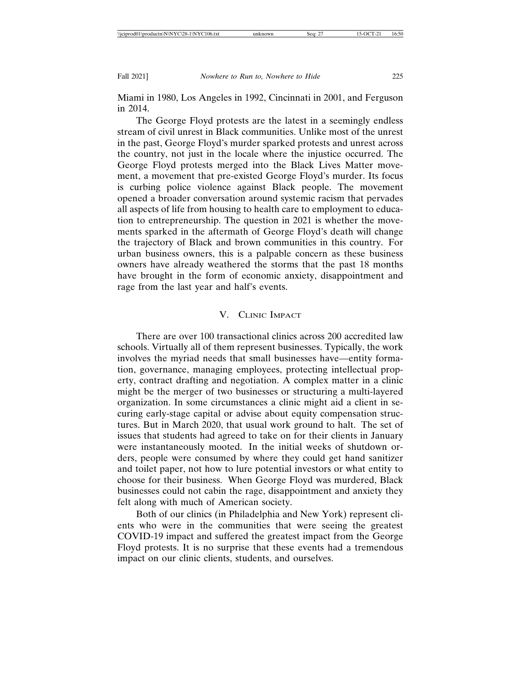Miami in 1980, Los Angeles in 1992, Cincinnati in 2001, and Ferguson in 2014.

The George Floyd protests are the latest in a seemingly endless stream of civil unrest in Black communities. Unlike most of the unrest in the past, George Floyd's murder sparked protests and unrest across the country, not just in the locale where the injustice occurred. The George Floyd protests merged into the Black Lives Matter movement, a movement that pre-existed George Floyd's murder. Its focus is curbing police violence against Black people. The movement opened a broader conversation around systemic racism that pervades all aspects of life from housing to health care to employment to education to entrepreneurship. The question in 2021 is whether the movements sparked in the aftermath of George Floyd's death will change the trajectory of Black and brown communities in this country. For urban business owners, this is a palpable concern as these business owners have already weathered the storms that the past 18 months have brought in the form of economic anxiety, disappointment and rage from the last year and half's events.

# V. CLINIC IMPACT

There are over 100 transactional clinics across 200 accredited law schools. Virtually all of them represent businesses. Typically, the work involves the myriad needs that small businesses have—entity formation, governance, managing employees, protecting intellectual property, contract drafting and negotiation. A complex matter in a clinic might be the merger of two businesses or structuring a multi-layered organization. In some circumstances a clinic might aid a client in securing early-stage capital or advise about equity compensation structures. But in March 2020, that usual work ground to halt. The set of issues that students had agreed to take on for their clients in January were instantaneously mooted. In the initial weeks of shutdown orders, people were consumed by where they could get hand sanitizer and toilet paper, not how to lure potential investors or what entity to choose for their business. When George Floyd was murdered, Black businesses could not cabin the rage, disappointment and anxiety they felt along with much of American society.

Both of our clinics (in Philadelphia and New York) represent clients who were in the communities that were seeing the greatest COVID-19 impact and suffered the greatest impact from the George Floyd protests. It is no surprise that these events had a tremendous impact on our clinic clients, students, and ourselves.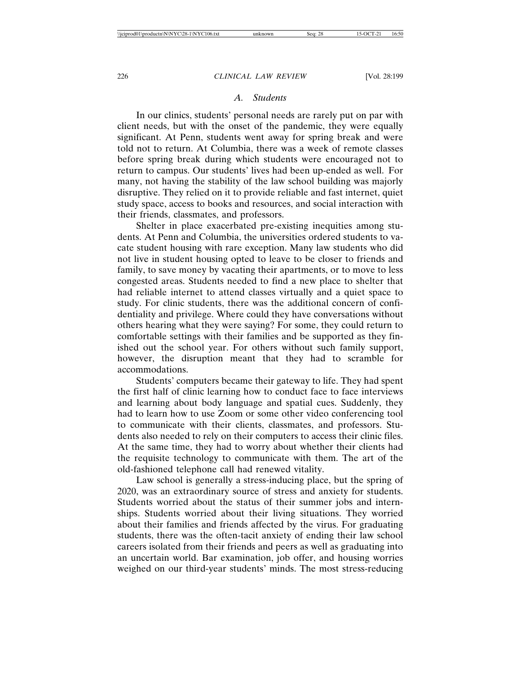# *A. Students*

In our clinics, students' personal needs are rarely put on par with client needs, but with the onset of the pandemic, they were equally significant. At Penn, students went away for spring break and were told not to return. At Columbia, there was a week of remote classes before spring break during which students were encouraged not to return to campus. Our students' lives had been up-ended as well. For many, not having the stability of the law school building was majorly disruptive. They relied on it to provide reliable and fast internet, quiet study space, access to books and resources, and social interaction with their friends, classmates, and professors.

Shelter in place exacerbated pre-existing inequities among students. At Penn and Columbia, the universities ordered students to vacate student housing with rare exception. Many law students who did not live in student housing opted to leave to be closer to friends and family, to save money by vacating their apartments, or to move to less congested areas. Students needed to find a new place to shelter that had reliable internet to attend classes virtually and a quiet space to study. For clinic students, there was the additional concern of confidentiality and privilege. Where could they have conversations without others hearing what they were saying? For some, they could return to comfortable settings with their families and be supported as they finished out the school year. For others without such family support, however, the disruption meant that they had to scramble for accommodations.

Students' computers became their gateway to life. They had spent the first half of clinic learning how to conduct face to face interviews and learning about body language and spatial cues. Suddenly, they had to learn how to use Zoom or some other video conferencing tool to communicate with their clients, classmates, and professors. Students also needed to rely on their computers to access their clinic files. At the same time, they had to worry about whether their clients had the requisite technology to communicate with them. The art of the old-fashioned telephone call had renewed vitality.

Law school is generally a stress-inducing place, but the spring of 2020, was an extraordinary source of stress and anxiety for students. Students worried about the status of their summer jobs and internships. Students worried about their living situations. They worried about their families and friends affected by the virus. For graduating students, there was the often-tacit anxiety of ending their law school careers isolated from their friends and peers as well as graduating into an uncertain world. Bar examination, job offer, and housing worries weighed on our third-year students' minds. The most stress-reducing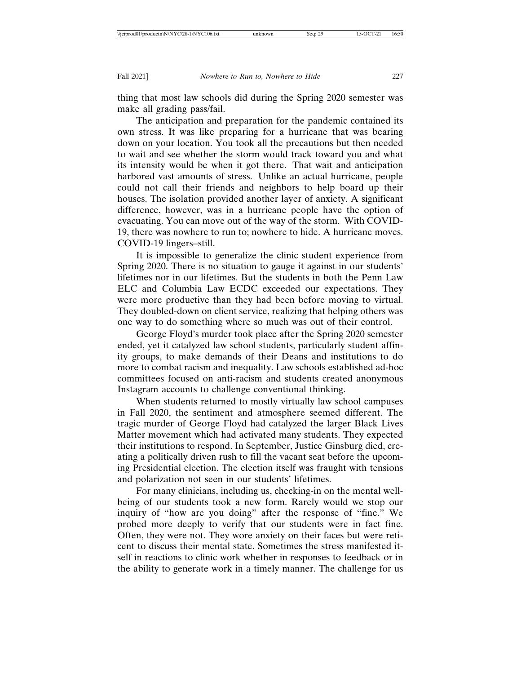thing that most law schools did during the Spring 2020 semester was make all grading pass/fail.

The anticipation and preparation for the pandemic contained its own stress. It was like preparing for a hurricane that was bearing down on your location. You took all the precautions but then needed to wait and see whether the storm would track toward you and what its intensity would be when it got there. That wait and anticipation harbored vast amounts of stress. Unlike an actual hurricane, people could not call their friends and neighbors to help board up their houses. The isolation provided another layer of anxiety. A significant difference, however, was in a hurricane people have the option of evacuating. You can move out of the way of the storm. With COVID-19, there was nowhere to run to; nowhere to hide. A hurricane moves. COVID-19 lingers–still.

It is impossible to generalize the clinic student experience from Spring 2020. There is no situation to gauge it against in our students' lifetimes nor in our lifetimes. But the students in both the Penn Law ELC and Columbia Law ECDC exceeded our expectations. They were more productive than they had been before moving to virtual. They doubled-down on client service, realizing that helping others was one way to do something where so much was out of their control.

George Floyd's murder took place after the Spring 2020 semester ended, yet it catalyzed law school students, particularly student affinity groups, to make demands of their Deans and institutions to do more to combat racism and inequality. Law schools established ad-hoc committees focused on anti-racism and students created anonymous Instagram accounts to challenge conventional thinking.

When students returned to mostly virtually law school campuses in Fall 2020, the sentiment and atmosphere seemed different. The tragic murder of George Floyd had catalyzed the larger Black Lives Matter movement which had activated many students. They expected their institutions to respond. In September, Justice Ginsburg died, creating a politically driven rush to fill the vacant seat before the upcoming Presidential election. The election itself was fraught with tensions and polarization not seen in our students' lifetimes.

For many clinicians, including us, checking-in on the mental wellbeing of our students took a new form. Rarely would we stop our inquiry of "how are you doing" after the response of "fine." We probed more deeply to verify that our students were in fact fine. Often, they were not. They wore anxiety on their faces but were reticent to discuss their mental state. Sometimes the stress manifested itself in reactions to clinic work whether in responses to feedback or in the ability to generate work in a timely manner. The challenge for us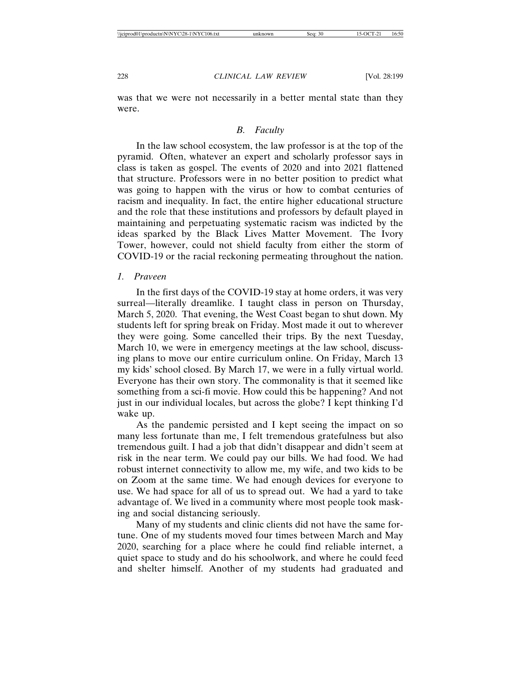was that we were not necessarily in a better mental state than they were.

# *B. Faculty*

In the law school ecosystem, the law professor is at the top of the pyramid. Often, whatever an expert and scholarly professor says in class is taken as gospel. The events of 2020 and into 2021 flattened that structure. Professors were in no better position to predict what was going to happen with the virus or how to combat centuries of racism and inequality. In fact, the entire higher educational structure and the role that these institutions and professors by default played in maintaining and perpetuating systematic racism was indicted by the ideas sparked by the Black Lives Matter Movement. The Ivory Tower, however, could not shield faculty from either the storm of COVID-19 or the racial reckoning permeating throughout the nation.

## *1. Praveen*

In the first days of the COVID-19 stay at home orders, it was very surreal—literally dreamlike. I taught class in person on Thursday, March 5, 2020. That evening, the West Coast began to shut down. My students left for spring break on Friday. Most made it out to wherever they were going. Some cancelled their trips. By the next Tuesday, March 10, we were in emergency meetings at the law school, discussing plans to move our entire curriculum online. On Friday, March 13 my kids' school closed. By March 17, we were in a fully virtual world. Everyone has their own story. The commonality is that it seemed like something from a sci-fi movie. How could this be happening? And not just in our individual locales, but across the globe? I kept thinking I'd wake up.

As the pandemic persisted and I kept seeing the impact on so many less fortunate than me, I felt tremendous gratefulness but also tremendous guilt. I had a job that didn't disappear and didn't seem at risk in the near term. We could pay our bills. We had food. We had robust internet connectivity to allow me, my wife, and two kids to be on Zoom at the same time. We had enough devices for everyone to use. We had space for all of us to spread out. We had a yard to take advantage of. We lived in a community where most people took masking and social distancing seriously.

Many of my students and clinic clients did not have the same fortune. One of my students moved four times between March and May 2020, searching for a place where he could find reliable internet, a quiet space to study and do his schoolwork, and where he could feed and shelter himself. Another of my students had graduated and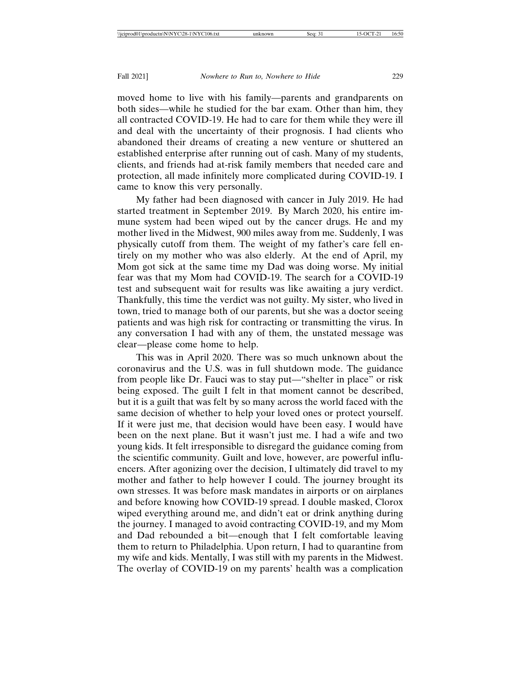moved home to live with his family—parents and grandparents on both sides—while he studied for the bar exam. Other than him, they all contracted COVID-19. He had to care for them while they were ill and deal with the uncertainty of their prognosis. I had clients who abandoned their dreams of creating a new venture or shuttered an established enterprise after running out of cash. Many of my students, clients, and friends had at-risk family members that needed care and protection, all made infinitely more complicated during COVID-19. I came to know this very personally.

My father had been diagnosed with cancer in July 2019. He had started treatment in September 2019. By March 2020, his entire immune system had been wiped out by the cancer drugs. He and my mother lived in the Midwest, 900 miles away from me. Suddenly, I was physically cutoff from them. The weight of my father's care fell entirely on my mother who was also elderly. At the end of April, my Mom got sick at the same time my Dad was doing worse. My initial fear was that my Mom had COVID-19. The search for a COVID-19 test and subsequent wait for results was like awaiting a jury verdict. Thankfully, this time the verdict was not guilty. My sister, who lived in town, tried to manage both of our parents, but she was a doctor seeing patients and was high risk for contracting or transmitting the virus. In any conversation I had with any of them, the unstated message was clear—please come home to help.

This was in April 2020. There was so much unknown about the coronavirus and the U.S. was in full shutdown mode. The guidance from people like Dr. Fauci was to stay put—"shelter in place" or risk being exposed. The guilt I felt in that moment cannot be described, but it is a guilt that was felt by so many across the world faced with the same decision of whether to help your loved ones or protect yourself. If it were just me, that decision would have been easy. I would have been on the next plane. But it wasn't just me. I had a wife and two young kids. It felt irresponsible to disregard the guidance coming from the scientific community. Guilt and love, however, are powerful influencers. After agonizing over the decision, I ultimately did travel to my mother and father to help however I could. The journey brought its own stresses. It was before mask mandates in airports or on airplanes and before knowing how COVID-19 spread. I double masked, Clorox wiped everything around me, and didn't eat or drink anything during the journey. I managed to avoid contracting COVID-19, and my Mom and Dad rebounded a bit—enough that I felt comfortable leaving them to return to Philadelphia. Upon return, I had to quarantine from my wife and kids. Mentally, I was still with my parents in the Midwest. The overlay of COVID-19 on my parents' health was a complication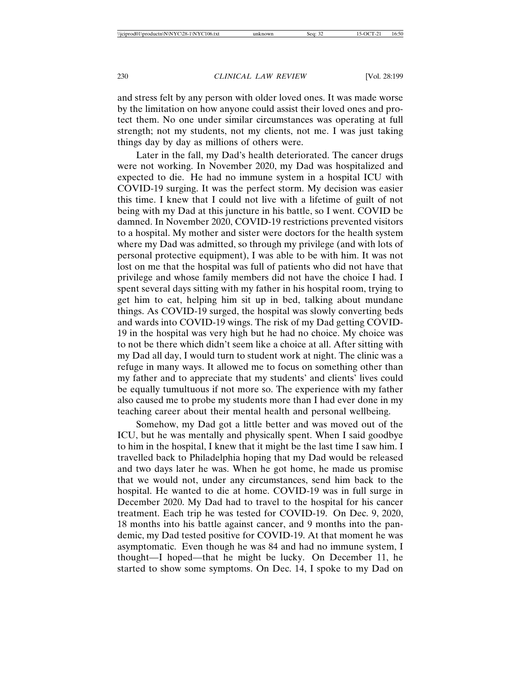and stress felt by any person with older loved ones. It was made worse by the limitation on how anyone could assist their loved ones and protect them. No one under similar circumstances was operating at full strength; not my students, not my clients, not me. I was just taking things day by day as millions of others were.

Later in the fall, my Dad's health deteriorated. The cancer drugs were not working. In November 2020, my Dad was hospitalized and expected to die. He had no immune system in a hospital ICU with COVID-19 surging. It was the perfect storm. My decision was easier this time. I knew that I could not live with a lifetime of guilt of not being with my Dad at this juncture in his battle, so I went. COVID be damned. In November 2020, COVID-19 restrictions prevented visitors to a hospital. My mother and sister were doctors for the health system where my Dad was admitted, so through my privilege (and with lots of personal protective equipment), I was able to be with him. It was not lost on me that the hospital was full of patients who did not have that privilege and whose family members did not have the choice I had. I spent several days sitting with my father in his hospital room, trying to get him to eat, helping him sit up in bed, talking about mundane things. As COVID-19 surged, the hospital was slowly converting beds and wards into COVID-19 wings. The risk of my Dad getting COVID-19 in the hospital was very high but he had no choice. My choice was to not be there which didn't seem like a choice at all. After sitting with my Dad all day, I would turn to student work at night. The clinic was a refuge in many ways. It allowed me to focus on something other than my father and to appreciate that my students' and clients' lives could be equally tumultuous if not more so. The experience with my father also caused me to probe my students more than I had ever done in my teaching career about their mental health and personal wellbeing.

Somehow, my Dad got a little better and was moved out of the ICU, but he was mentally and physically spent. When I said goodbye to him in the hospital, I knew that it might be the last time I saw him. I travelled back to Philadelphia hoping that my Dad would be released and two days later he was. When he got home, he made us promise that we would not, under any circumstances, send him back to the hospital. He wanted to die at home. COVID-19 was in full surge in December 2020. My Dad had to travel to the hospital for his cancer treatment. Each trip he was tested for COVID-19. On Dec. 9, 2020, 18 months into his battle against cancer, and 9 months into the pandemic, my Dad tested positive for COVID-19. At that moment he was asymptomatic. Even though he was 84 and had no immune system, I thought—I hoped—that he might be lucky. On December 11, he started to show some symptoms. On Dec. 14, I spoke to my Dad on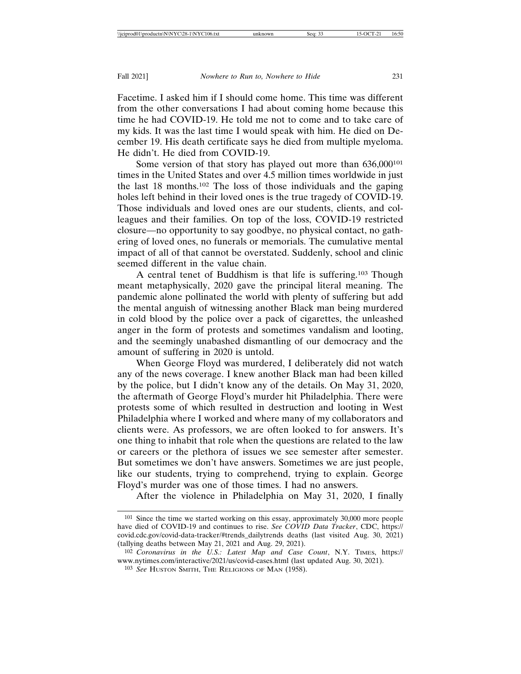Facetime. I asked him if I should come home. This time was different from the other conversations I had about coming home because this time he had COVID-19. He told me not to come and to take care of my kids. It was the last time I would speak with him. He died on December 19. His death certificate says he died from multiple myeloma. He didn't. He died from COVID-19.

Some version of that story has played out more than 636,000<sup>101</sup> times in the United States and over 4.5 million times worldwide in just the last 18 months.102 The loss of those individuals and the gaping holes left behind in their loved ones is the true tragedy of COVID-19. Those individuals and loved ones are our students, clients, and colleagues and their families. On top of the loss, COVID-19 restricted closure—no opportunity to say goodbye, no physical contact, no gathering of loved ones, no funerals or memorials. The cumulative mental impact of all of that cannot be overstated. Suddenly, school and clinic seemed different in the value chain.

A central tenet of Buddhism is that life is suffering.103 Though meant metaphysically, 2020 gave the principal literal meaning. The pandemic alone pollinated the world with plenty of suffering but add the mental anguish of witnessing another Black man being murdered in cold blood by the police over a pack of cigarettes, the unleashed anger in the form of protests and sometimes vandalism and looting, and the seemingly unabashed dismantling of our democracy and the amount of suffering in 2020 is untold.

When George Floyd was murdered, I deliberately did not watch any of the news coverage. I knew another Black man had been killed by the police, but I didn't know any of the details. On May 31, 2020, the aftermath of George Floyd's murder hit Philadelphia. There were protests some of which resulted in destruction and looting in West Philadelphia where I worked and where many of my collaborators and clients were. As professors, we are often looked to for answers. It's one thing to inhabit that role when the questions are related to the law or careers or the plethora of issues we see semester after semester. But sometimes we don't have answers. Sometimes we are just people, like our students, trying to comprehend, trying to explain. George Floyd's murder was one of those times. I had no answers.

After the violence in Philadelphia on May 31, 2020, I finally

<sup>101</sup> Since the time we started working on this essay, approximately 30,000 more people have died of COVID-19 and continues to rise. *See COVID Data Tracker*, CDC, https:// covid.cdc.gov/covid-data-tracker/#trends\_dailytrends deaths (last visited Aug. 30, 2021) (tallying deaths between May 21, 2021 and Aug. 29, 2021).

<sup>102</sup> *Coronavirus in the U.S.: Latest Map and Case Count*, N.Y. TIMES, https:// www.nytimes.com/interactive/2021/us/covid-cases.html (last updated Aug. 30, 2021).

<sup>103</sup> *See* HUSTON SMITH, THE RELIGIONS OF MAN (1958).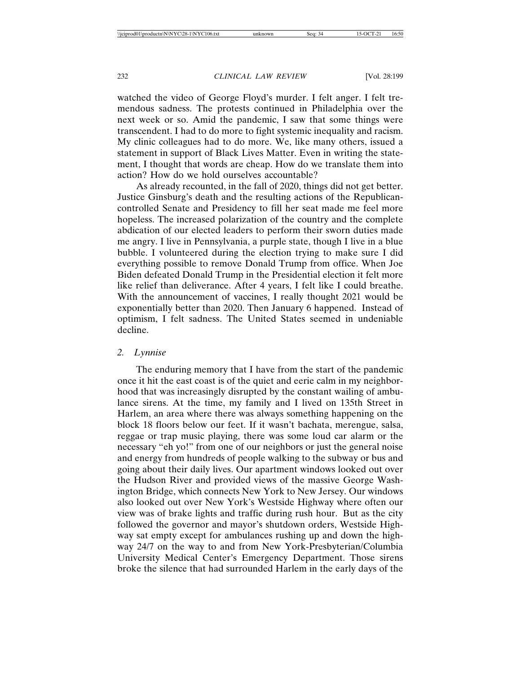watched the video of George Floyd's murder. I felt anger. I felt tremendous sadness. The protests continued in Philadelphia over the next week or so. Amid the pandemic, I saw that some things were transcendent. I had to do more to fight systemic inequality and racism. My clinic colleagues had to do more. We, like many others, issued a statement in support of Black Lives Matter. Even in writing the statement, I thought that words are cheap. How do we translate them into action? How do we hold ourselves accountable?

As already recounted, in the fall of 2020, things did not get better. Justice Ginsburg's death and the resulting actions of the Republicancontrolled Senate and Presidency to fill her seat made me feel more hopeless. The increased polarization of the country and the complete abdication of our elected leaders to perform their sworn duties made me angry. I live in Pennsylvania, a purple state, though I live in a blue bubble. I volunteered during the election trying to make sure I did everything possible to remove Donald Trump from office. When Joe Biden defeated Donald Trump in the Presidential election it felt more like relief than deliverance. After 4 years, I felt like I could breathe. With the announcement of vaccines, I really thought 2021 would be exponentially better than 2020. Then January 6 happened. Instead of optimism, I felt sadness. The United States seemed in undeniable decline.

#### *2. Lynnise*

The enduring memory that I have from the start of the pandemic once it hit the east coast is of the quiet and eerie calm in my neighborhood that was increasingly disrupted by the constant wailing of ambulance sirens. At the time, my family and I lived on 135th Street in Harlem, an area where there was always something happening on the block 18 floors below our feet. If it wasn't bachata, merengue, salsa, reggae or trap music playing, there was some loud car alarm or the necessary "eh yo!" from one of our neighbors or just the general noise and energy from hundreds of people walking to the subway or bus and going about their daily lives. Our apartment windows looked out over the Hudson River and provided views of the massive George Washington Bridge, which connects New York to New Jersey. Our windows also looked out over New York's Westside Highway where often our view was of brake lights and traffic during rush hour. But as the city followed the governor and mayor's shutdown orders, Westside Highway sat empty except for ambulances rushing up and down the highway 24/7 on the way to and from New York-Presbyterian/Columbia University Medical Center's Emergency Department. Those sirens broke the silence that had surrounded Harlem in the early days of the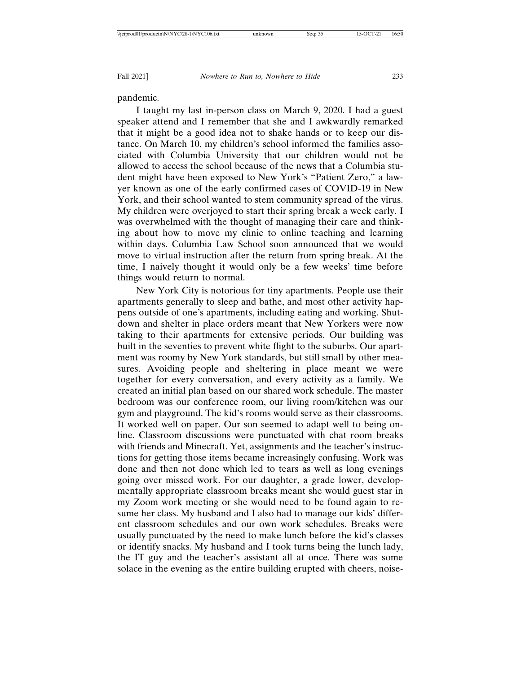pandemic.

I taught my last in-person class on March 9, 2020. I had a guest speaker attend and I remember that she and I awkwardly remarked that it might be a good idea not to shake hands or to keep our distance. On March 10, my children's school informed the families associated with Columbia University that our children would not be allowed to access the school because of the news that a Columbia student might have been exposed to New York's "Patient Zero," a lawyer known as one of the early confirmed cases of COVID-19 in New York, and their school wanted to stem community spread of the virus. My children were overjoyed to start their spring break a week early. I was overwhelmed with the thought of managing their care and thinking about how to move my clinic to online teaching and learning within days. Columbia Law School soon announced that we would move to virtual instruction after the return from spring break. At the time, I naively thought it would only be a few weeks' time before things would return to normal.

New York City is notorious for tiny apartments. People use their apartments generally to sleep and bathe, and most other activity happens outside of one's apartments, including eating and working. Shutdown and shelter in place orders meant that New Yorkers were now taking to their apartments for extensive periods. Our building was built in the seventies to prevent white flight to the suburbs. Our apartment was roomy by New York standards, but still small by other measures. Avoiding people and sheltering in place meant we were together for every conversation, and every activity as a family. We created an initial plan based on our shared work schedule. The master bedroom was our conference room, our living room/kitchen was our gym and playground. The kid's rooms would serve as their classrooms. It worked well on paper. Our son seemed to adapt well to being online. Classroom discussions were punctuated with chat room breaks with friends and Minecraft. Yet, assignments and the teacher's instructions for getting those items became increasingly confusing. Work was done and then not done which led to tears as well as long evenings going over missed work. For our daughter, a grade lower, developmentally appropriate classroom breaks meant she would guest star in my Zoom work meeting or she would need to be found again to resume her class. My husband and I also had to manage our kids' different classroom schedules and our own work schedules. Breaks were usually punctuated by the need to make lunch before the kid's classes or identify snacks. My husband and I took turns being the lunch lady, the IT guy and the teacher's assistant all at once. There was some solace in the evening as the entire building erupted with cheers, noise-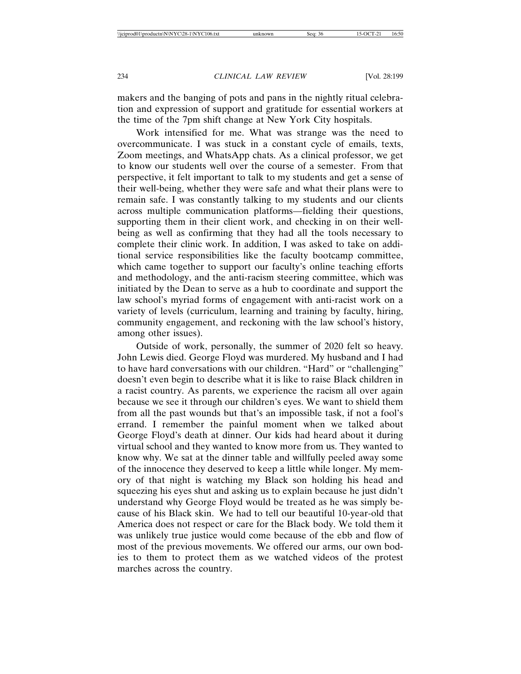makers and the banging of pots and pans in the nightly ritual celebration and expression of support and gratitude for essential workers at the time of the 7pm shift change at New York City hospitals.

Work intensified for me. What was strange was the need to overcommunicate. I was stuck in a constant cycle of emails, texts, Zoom meetings, and WhatsApp chats. As a clinical professor, we get to know our students well over the course of a semester. From that perspective, it felt important to talk to my students and get a sense of their well-being, whether they were safe and what their plans were to remain safe. I was constantly talking to my students and our clients across multiple communication platforms—fielding their questions, supporting them in their client work, and checking in on their wellbeing as well as confirming that they had all the tools necessary to complete their clinic work. In addition, I was asked to take on additional service responsibilities like the faculty bootcamp committee, which came together to support our faculty's online teaching efforts and methodology, and the anti-racism steering committee, which was initiated by the Dean to serve as a hub to coordinate and support the law school's myriad forms of engagement with anti-racist work on a variety of levels (curriculum, learning and training by faculty, hiring, community engagement, and reckoning with the law school's history, among other issues).

Outside of work, personally, the summer of 2020 felt so heavy. John Lewis died. George Floyd was murdered. My husband and I had to have hard conversations with our children. "Hard" or "challenging" doesn't even begin to describe what it is like to raise Black children in a racist country. As parents, we experience the racism all over again because we see it through our children's eyes. We want to shield them from all the past wounds but that's an impossible task, if not a fool's errand. I remember the painful moment when we talked about George Floyd's death at dinner. Our kids had heard about it during virtual school and they wanted to know more from us. They wanted to know why. We sat at the dinner table and willfully peeled away some of the innocence they deserved to keep a little while longer. My memory of that night is watching my Black son holding his head and squeezing his eyes shut and asking us to explain because he just didn't understand why George Floyd would be treated as he was simply because of his Black skin. We had to tell our beautiful 10-year-old that America does not respect or care for the Black body. We told them it was unlikely true justice would come because of the ebb and flow of most of the previous movements. We offered our arms, our own bodies to them to protect them as we watched videos of the protest marches across the country.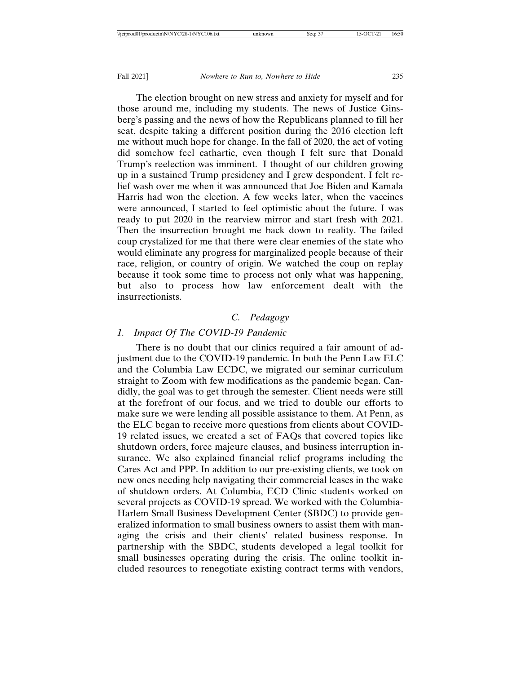The election brought on new stress and anxiety for myself and for those around me, including my students. The news of Justice Ginsberg's passing and the news of how the Republicans planned to fill her seat, despite taking a different position during the 2016 election left me without much hope for change. In the fall of 2020, the act of voting did somehow feel cathartic, even though I felt sure that Donald Trump's reelection was imminent. I thought of our children growing up in a sustained Trump presidency and I grew despondent. I felt relief wash over me when it was announced that Joe Biden and Kamala Harris had won the election. A few weeks later, when the vaccines were announced, I started to feel optimistic about the future. I was ready to put 2020 in the rearview mirror and start fresh with 2021. Then the insurrection brought me back down to reality. The failed coup crystalized for me that there were clear enemies of the state who would eliminate any progress for marginalized people because of their race, religion, or country of origin. We watched the coup on replay because it took some time to process not only what was happening, but also to process how law enforcement dealt with the insurrectionists.

# *C. Pedagogy*

# *1. Impact Of The COVID-19 Pandemic*

There is no doubt that our clinics required a fair amount of adjustment due to the COVID-19 pandemic. In both the Penn Law ELC and the Columbia Law ECDC, we migrated our seminar curriculum straight to Zoom with few modifications as the pandemic began. Candidly, the goal was to get through the semester. Client needs were still at the forefront of our focus, and we tried to double our efforts to make sure we were lending all possible assistance to them. At Penn, as the ELC began to receive more questions from clients about COVID-19 related issues, we created a set of FAQs that covered topics like shutdown orders, force majeure clauses, and business interruption insurance. We also explained financial relief programs including the Cares Act and PPP. In addition to our pre-existing clients, we took on new ones needing help navigating their commercial leases in the wake of shutdown orders. At Columbia, ECD Clinic students worked on several projects as COVID-19 spread. We worked with the Columbia-Harlem Small Business Development Center (SBDC) to provide generalized information to small business owners to assist them with managing the crisis and their clients' related business response. In partnership with the SBDC, students developed a legal toolkit for small businesses operating during the crisis. The online toolkit included resources to renegotiate existing contract terms with vendors,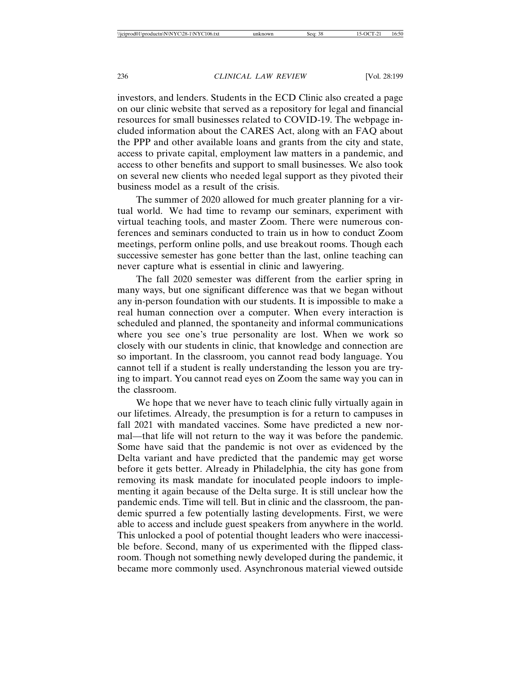investors, and lenders. Students in the ECD Clinic also created a page on our clinic website that served as a repository for legal and financial resources for small businesses related to COVID-19. The webpage included information about the CARES Act, along with an FAQ about the PPP and other available loans and grants from the city and state, access to private capital, employment law matters in a pandemic, and access to other benefits and support to small businesses. We also took on several new clients who needed legal support as they pivoted their business model as a result of the crisis.

The summer of 2020 allowed for much greater planning for a virtual world. We had time to revamp our seminars, experiment with virtual teaching tools, and master Zoom. There were numerous conferences and seminars conducted to train us in how to conduct Zoom meetings, perform online polls, and use breakout rooms. Though each successive semester has gone better than the last, online teaching can never capture what is essential in clinic and lawyering.

The fall 2020 semester was different from the earlier spring in many ways, but one significant difference was that we began without any in-person foundation with our students. It is impossible to make a real human connection over a computer. When every interaction is scheduled and planned, the spontaneity and informal communications where you see one's true personality are lost. When we work so closely with our students in clinic, that knowledge and connection are so important. In the classroom, you cannot read body language. You cannot tell if a student is really understanding the lesson you are trying to impart. You cannot read eyes on Zoom the same way you can in the classroom.

We hope that we never have to teach clinic fully virtually again in our lifetimes. Already, the presumption is for a return to campuses in fall 2021 with mandated vaccines. Some have predicted a new normal—that life will not return to the way it was before the pandemic. Some have said that the pandemic is not over as evidenced by the Delta variant and have predicted that the pandemic may get worse before it gets better. Already in Philadelphia, the city has gone from removing its mask mandate for inoculated people indoors to implementing it again because of the Delta surge. It is still unclear how the pandemic ends. Time will tell. But in clinic and the classroom, the pandemic spurred a few potentially lasting developments. First, we were able to access and include guest speakers from anywhere in the world. This unlocked a pool of potential thought leaders who were inaccessible before. Second, many of us experimented with the flipped classroom. Though not something newly developed during the pandemic, it became more commonly used. Asynchronous material viewed outside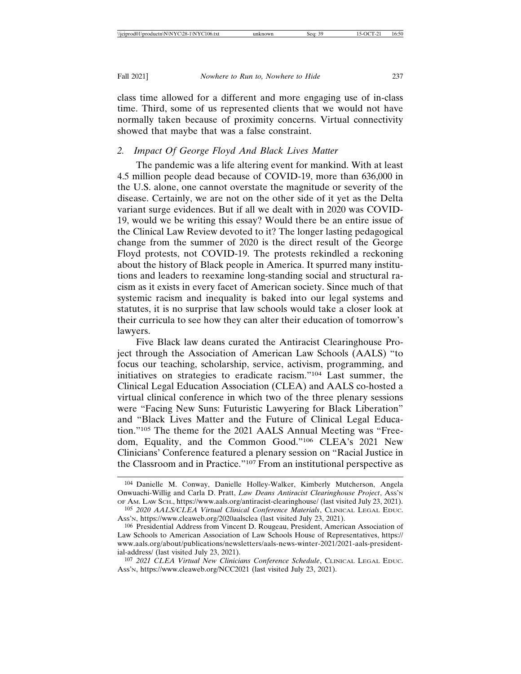class time allowed for a different and more engaging use of in-class time. Third, some of us represented clients that we would not have normally taken because of proximity concerns. Virtual connectivity showed that maybe that was a false constraint.

# *2. Impact Of George Floyd And Black Lives Matter*

The pandemic was a life altering event for mankind. With at least 4.5 million people dead because of COVID-19, more than 636,000 in the U.S. alone, one cannot overstate the magnitude or severity of the disease. Certainly, we are not on the other side of it yet as the Delta variant surge evidences. But if all we dealt with in 2020 was COVID-19, would we be writing this essay? Would there be an entire issue of the Clinical Law Review devoted to it? The longer lasting pedagogical change from the summer of 2020 is the direct result of the George Floyd protests, not COVID-19. The protests rekindled a reckoning about the history of Black people in America. It spurred many institutions and leaders to reexamine long-standing social and structural racism as it exists in every facet of American society. Since much of that systemic racism and inequality is baked into our legal systems and statutes, it is no surprise that law schools would take a closer look at their curricula to see how they can alter their education of tomorrow's lawyers.

Five Black law deans curated the Antiracist Clearinghouse Project through the Association of American Law Schools (AALS) "to focus our teaching, scholarship, service, activism, programming, and initiatives on strategies to eradicate racism."104 Last summer, the Clinical Legal Education Association (CLEA) and AALS co-hosted a virtual clinical conference in which two of the three plenary sessions were "Facing New Suns: Futuristic Lawyering for Black Liberation" and "Black Lives Matter and the Future of Clinical Legal Education."105 The theme for the 2021 AALS Annual Meeting was "Freedom, Equality, and the Common Good."106 CLEA's 2021 New Clinicians' Conference featured a plenary session on "Racial Justice in the Classroom and in Practice."107 From an institutional perspective as

<sup>104</sup> Danielle M. Conway, Danielle Holley-Walker, Kimberly Mutcherson, Angela Onwuachi-Willig and Carla D. Pratt, *Law Deans Antiracist Clearinghouse Project*, Ass'n OF AM. LAW SCH., https://www.aals.org/antiracist-clearinghouse/ (last visited July 23, 2021). 105 *2020 AALS/CLEA Virtual Clinical Conference Materials*, CLINICAL LEGAL EDUC.

ASS'N, https://www.cleaweb.org/2020aalsclea (last visited July 23, 2021).

<sup>106</sup> Presidential Address from Vincent D. Rougeau, President, American Association of Law Schools to American Association of Law Schools House of Representatives, https:// www.aals.org/about/publications/newsletters/aals-news-winter-2021/2021-aals-presidential-address/ (last visited July 23, 2021).

<sup>107</sup> *2021 CLEA Virtual New Clinicians Conference Schedule*, CLINICAL LEGAL EDUC. ASS'N, https://www.cleaweb.org/NCC2021 (last visited July 23, 2021).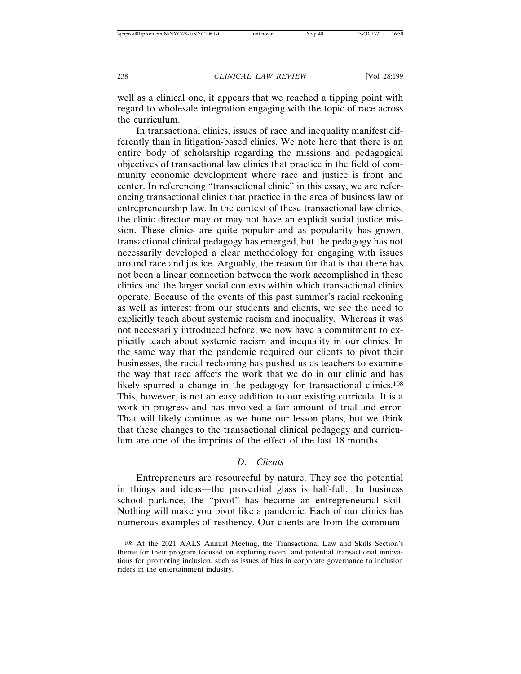well as a clinical one, it appears that we reached a tipping point with regard to wholesale integration engaging with the topic of race across the curriculum.

In transactional clinics, issues of race and inequality manifest differently than in litigation-based clinics. We note here that there is an entire body of scholarship regarding the missions and pedagogical objectives of transactional law clinics that practice in the field of community economic development where race and justice is front and center. In referencing "transactional clinic" in this essay, we are referencing transactional clinics that practice in the area of business law or entrepreneurship law. In the context of these transactional law clinics, the clinic director may or may not have an explicit social justice mission. These clinics are quite popular and as popularity has grown, transactional clinical pedagogy has emerged, but the pedagogy has not necessarily developed a clear methodology for engaging with issues around race and justice. Arguably, the reason for that is that there has not been a linear connection between the work accomplished in these clinics and the larger social contexts within which transactional clinics operate. Because of the events of this past summer's racial reckoning as well as interest from our students and clients, we see the need to explicitly teach about systemic racism and inequality. Whereas it was not necessarily introduced before, we now have a commitment to explicitly teach about systemic racism and inequality in our clinics. In the same way that the pandemic required our clients to pivot their businesses, the racial reckoning has pushed us as teachers to examine the way that race affects the work that we do in our clinic and has likely spurred a change in the pedagogy for transactional clinics.<sup>108</sup> This, however, is not an easy addition to our existing curricula. It is a work in progress and has involved a fair amount of trial and error. That will likely continue as we hone our lesson plans, but we think that these changes to the transactional clinical pedagogy and curriculum are one of the imprints of the effect of the last 18 months.

# *D. Clients*

Entrepreneurs are resourceful by nature. They see the potential in things and ideas—the proverbial glass is half-full. In business school parlance, the "pivot" has become an entrepreneurial skill. Nothing will make you pivot like a pandemic. Each of our clinics has numerous examples of resiliency. Our clients are from the communi-

<sup>108</sup> At the 2021 AALS Annual Meeting, the Transactional Law and Skills Section's theme for their program focused on exploring recent and potential transactional innovations for promoting inclusion, such as issues of bias in corporate governance to inclusion riders in the entertainment industry.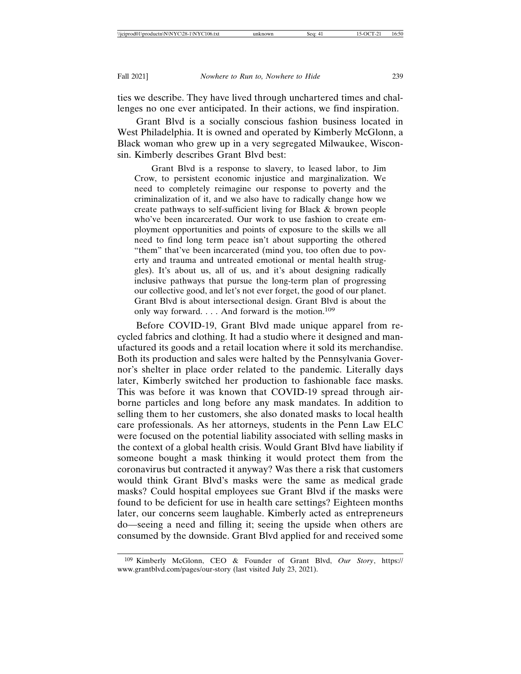ties we describe. They have lived through unchartered times and challenges no one ever anticipated. In their actions, we find inspiration.

Grant Blvd is a socially conscious fashion business located in West Philadelphia. It is owned and operated by Kimberly McGlonn, a Black woman who grew up in a very segregated Milwaukee, Wisconsin. Kimberly describes Grant Blvd best:

Grant Blvd is a response to slavery, to leased labor, to Jim Crow, to persistent economic injustice and marginalization. We need to completely reimagine our response to poverty and the criminalization of it, and we also have to radically change how we create pathways to self-sufficient living for Black & brown people who've been incarcerated. Our work to use fashion to create employment opportunities and points of exposure to the skills we all need to find long term peace isn't about supporting the othered "them" that've been incarcerated (mind you, too often due to poverty and trauma and untreated emotional or mental health struggles). It's about us, all of us, and it's about designing radically inclusive pathways that pursue the long-term plan of progressing our collective good, and let's not ever forget, the good of our planet. Grant Blvd is about intersectional design. Grant Blvd is about the only way forward. . . . And forward is the motion.109

Before COVID-19, Grant Blvd made unique apparel from recycled fabrics and clothing. It had a studio where it designed and manufactured its goods and a retail location where it sold its merchandise. Both its production and sales were halted by the Pennsylvania Governor's shelter in place order related to the pandemic. Literally days later, Kimberly switched her production to fashionable face masks. This was before it was known that COVID-19 spread through airborne particles and long before any mask mandates. In addition to selling them to her customers, she also donated masks to local health care professionals. As her attorneys, students in the Penn Law ELC were focused on the potential liability associated with selling masks in the context of a global health crisis. Would Grant Blvd have liability if someone bought a mask thinking it would protect them from the coronavirus but contracted it anyway? Was there a risk that customers would think Grant Blvd's masks were the same as medical grade masks? Could hospital employees sue Grant Blvd if the masks were found to be deficient for use in health care settings? Eighteen months later, our concerns seem laughable. Kimberly acted as entrepreneurs do—seeing a need and filling it; seeing the upside when others are consumed by the downside. Grant Blvd applied for and received some

<sup>109</sup> Kimberly McGlonn, CEO & Founder of Grant Blvd, *Our Story*, https:// www.grantblvd.com/pages/our-story (last visited July 23, 2021).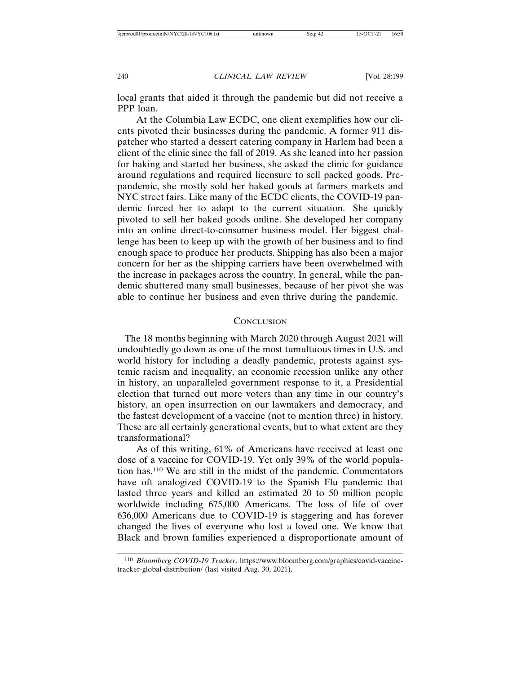local grants that aided it through the pandemic but did not receive a PPP loan.

At the Columbia Law ECDC, one client exemplifies how our clients pivoted their businesses during the pandemic. A former 911 dispatcher who started a dessert catering company in Harlem had been a client of the clinic since the fall of 2019. As she leaned into her passion for baking and started her business, she asked the clinic for guidance around regulations and required licensure to sell packed goods. Prepandemic, she mostly sold her baked goods at farmers markets and NYC street fairs. Like many of the ECDC clients, the COVID-19 pandemic forced her to adapt to the current situation. She quickly pivoted to sell her baked goods online. She developed her company into an online direct-to-consumer business model. Her biggest challenge has been to keep up with the growth of her business and to find enough space to produce her products. Shipping has also been a major concern for her as the shipping carriers have been overwhelmed with the increase in packages across the country. In general, while the pandemic shuttered many small businesses, because of her pivot she was able to continue her business and even thrive during the pandemic.

#### **CONCLUSION**

 The 18 months beginning with March 2020 through August 2021 will undoubtedly go down as one of the most tumultuous times in U.S. and world history for including a deadly pandemic, protests against systemic racism and inequality, an economic recession unlike any other in history, an unparalleled government response to it, a Presidential election that turned out more voters than any time in our country's history, an open insurrection on our lawmakers and democracy, and the fastest development of a vaccine (not to mention three) in history. These are all certainly generational events, but to what extent are they transformational?

As of this writing, 61% of Americans have received at least one dose of a vaccine for COVID-19. Yet only 39% of the world population has.110 We are still in the midst of the pandemic. Commentators have oft analogized COVID-19 to the Spanish Flu pandemic that lasted three years and killed an estimated 20 to 50 million people worldwide including 675,000 Americans. The loss of life of over 636,000 Americans due to COVID-19 is staggering and has forever changed the lives of everyone who lost a loved one. We know that Black and brown families experienced a disproportionate amount of

<sup>110</sup> *Bloomberg COVID-19 Tracker*, https://www.bloomberg.com/graphics/covid-vaccinetracker-global-distribution/ (last visited Aug. 30, 2021).